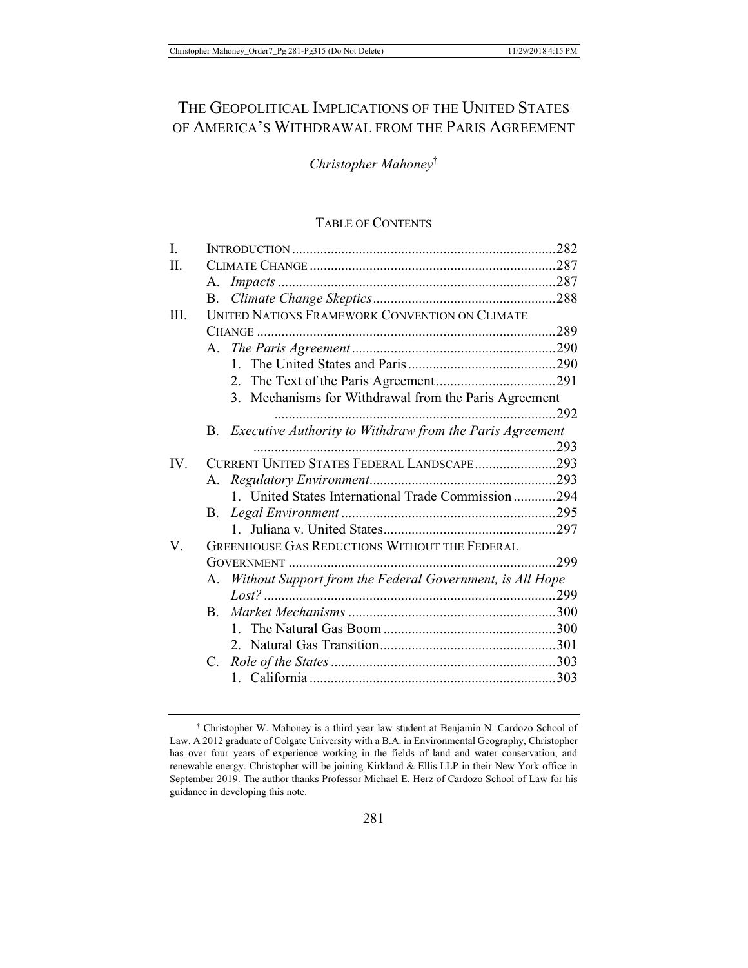# THE GEOPOLITICAL IMPLICATIONS OF THE UNITED STATES OF AMERICA'S WITHDRAWAL FROM THE PARIS AGREEMENT

## *Christopher Mahoney*†

#### TABLE OF CONTENTS

| I.   |                                                      |                                                             |  |  |
|------|------------------------------------------------------|-------------------------------------------------------------|--|--|
| Η.   |                                                      |                                                             |  |  |
|      | А.                                                   |                                                             |  |  |
|      | B.                                                   |                                                             |  |  |
| III. | UNITED NATIONS FRAMEWORK CONVENTION ON CLIMATE       |                                                             |  |  |
|      |                                                      |                                                             |  |  |
|      |                                                      |                                                             |  |  |
|      |                                                      |                                                             |  |  |
|      |                                                      |                                                             |  |  |
|      |                                                      | 3. Mechanisms for Withdrawal from the Paris Agreement       |  |  |
|      |                                                      |                                                             |  |  |
|      |                                                      | B. Executive Authority to Withdraw from the Paris Agreement |  |  |
|      |                                                      |                                                             |  |  |
| IV.  | CURRENT UNITED STATES FEDERAL LANDSCAPE293           |                                                             |  |  |
|      |                                                      |                                                             |  |  |
|      |                                                      | 1. United States International Trade Commission294          |  |  |
|      | <b>B.</b>                                            |                                                             |  |  |
|      |                                                      |                                                             |  |  |
| V.   | <b>GREENHOUSE GAS REDUCTIONS WITHOUT THE FEDERAL</b> |                                                             |  |  |
|      |                                                      |                                                             |  |  |
|      |                                                      | A. Without Support from the Federal Government, is All Hope |  |  |
|      |                                                      |                                                             |  |  |
|      | $\mathbf{B}$ .                                       |                                                             |  |  |
|      |                                                      | $1_{\sim}$                                                  |  |  |
|      |                                                      |                                                             |  |  |
|      |                                                      |                                                             |  |  |
|      |                                                      |                                                             |  |  |
|      |                                                      |                                                             |  |  |

† Christopher W. Mahoney is a third year law student at Benjamin N. Cardozo School of Law. A 2012 graduate of Colgate University with a B.A. in Environmental Geography, Christopher has over four years of experience working in the fields of land and water conservation, and renewable energy. Christopher will be joining Kirkland & Ellis LLP in their New York office in September 2019. The author thanks Professor Michael E. Herz of Cardozo School of Law for his guidance in developing this note.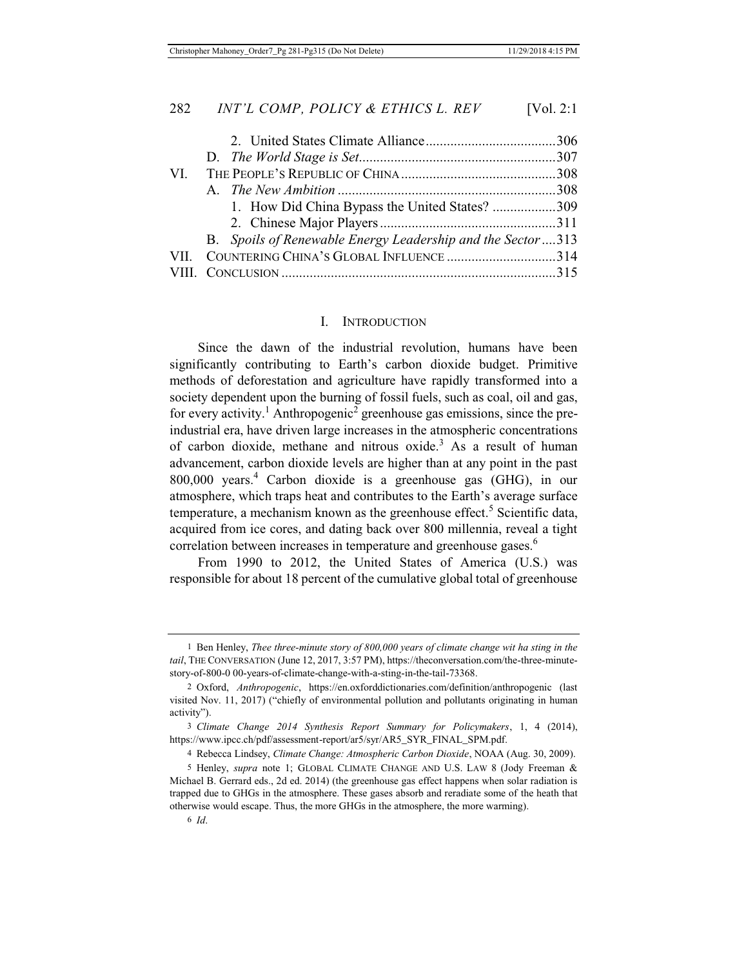| 1. How Did China Bypass the United States? 309              |  |
|-------------------------------------------------------------|--|
|                                                             |  |
| B. Spoils of Renewable Energy Leadership and the Sector 313 |  |
| VII. COUNTERING CHINA'S GLOBAL INFLUENCE 314                |  |
|                                                             |  |
|                                                             |  |

#### I. INTRODUCTION

Since the dawn of the industrial revolution, humans have been significantly contributing to Earth's carbon dioxide budget. Primitive methods of deforestation and agriculture have rapidly transformed into a society dependent upon the burning of fossil fuels, such as coal, oil and gas, for every activity.<sup>1</sup> Anthropogenic<sup>2</sup> greenhouse gas emissions, since the preindustrial era, have driven large increases in the atmospheric concentrations of carbon dioxide, methane and nitrous oxide.<sup>3</sup> As a result of human advancement, carbon dioxide levels are higher than at any point in the past 800,000 years.4 Carbon dioxide is a greenhouse gas (GHG), in our atmosphere, which traps heat and contributes to the Earth's average surface temperature, a mechanism known as the greenhouse effect.<sup>5</sup> Scientific data, acquired from ice cores, and dating back over 800 millennia, reveal a tight correlation between increases in temperature and greenhouse gases.<sup>6</sup>

From 1990 to 2012, the United States of America (U.S.) was responsible for about 18 percent of the cumulative global total of greenhouse

<sup>1</sup> Ben Henley, *Thee three-minute story of 800,000 years of climate change wit ha sting in the tail*, THE CONVERSATION (June 12, 2017, 3:57 PM), https://theconversation.com/the-three-minutestory-of-800-0 00-years-of-climate-change-with-a-sting-in-the-tail-73368.

<sup>2</sup> Oxford, *Anthropogenic*, https://en.oxforddictionaries.com/definition/anthropogenic (last visited Nov. 11, 2017) ("chiefly of environmental pollution and pollutants originating in human activity").

<sup>3</sup> *Climate Change 2014 Synthesis Report Summary for Policymakers*, 1, 4 (2014), https://www.ipcc.ch/pdf/assessment-report/ar5/syr/AR5\_SYR\_FINAL\_SPM.pdf.

<sup>4</sup> Rebecca Lindsey, *Climate Change: Atmospheric Carbon Dioxide*, NOAA (Aug. 30, 2009).

<sup>5</sup> Henley, *supra* note 1; GLOBAL CLIMATE CHANGE AND U.S. LAW 8 (Jody Freeman & Michael B. Gerrard eds., 2d ed. 2014) (the greenhouse gas effect happens when solar radiation is trapped due to GHGs in the atmosphere. These gases absorb and reradiate some of the heath that otherwise would escape. Thus, the more GHGs in the atmosphere, the more warming).

<sup>6</sup> *Id*.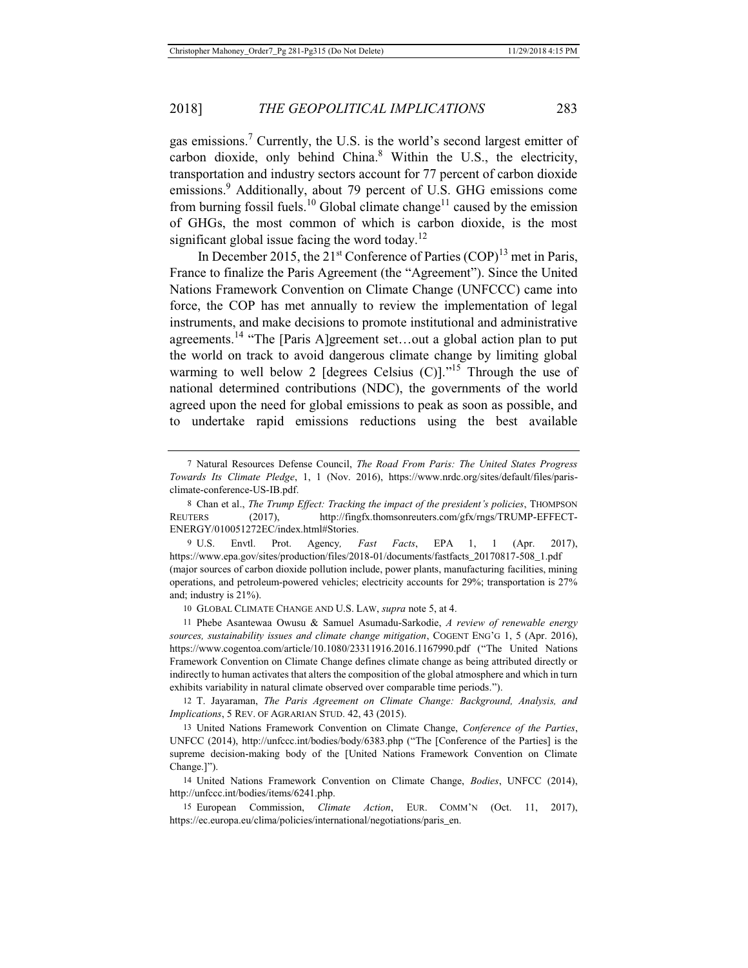## 2018] *THE GEOPOLITICAL IMPLICATIONS* 283

gas emissions.<sup>7</sup> Currently, the U.S. is the world's second largest emitter of carbon dioxide, only behind China.<sup>8</sup> Within the U.S., the electricity, transportation and industry sectors account for 77 percent of carbon dioxide emissions.<sup>9</sup> Additionally, about 79 percent of U.S. GHG emissions come from burning fossil fuels.<sup>10</sup> Global climate change<sup>11</sup> caused by the emission of GHGs, the most common of which is carbon dioxide, is the most significant global issue facing the word today.<sup>12</sup>

In December 2015, the  $21<sup>st</sup>$  Conference of Parties (COP)<sup>13</sup> met in Paris, France to finalize the Paris Agreement (the "Agreement"). Since the United Nations Framework Convention on Climate Change (UNFCCC) came into force, the COP has met annually to review the implementation of legal instruments, and make decisions to promote institutional and administrative agreements.<sup>14</sup> "The [Paris A]greement set...out a global action plan to put the world on track to avoid dangerous climate change by limiting global warming to well below 2 [degrees Celsius  $(C)$ ]."<sup>15</sup> Through the use of national determined contributions (NDC), the governments of the world agreed upon the need for global emissions to peak as soon as possible, and to undertake rapid emissions reductions using the best available

9 U.S. Envtl. Prot. Agency*, Fast Facts*, EPA 1, 1 (Apr. 2017), https://www.epa.gov/sites/production/files/2018-01/documents/fastfacts\_20170817-508\_1.pdf (major sources of carbon dioxide pollution include, power plants, manufacturing facilities, mining operations, and petroleum-powered vehicles; electricity accounts for 29%; transportation is 27% and; industry is 21%).

10 GLOBAL CLIMATE CHANGE AND U.S. LAW, *supra* note 5, at 4.

11 Phebe Asantewaa Owusu & Samuel Asumadu-Sarkodie, *A review of renewable energy sources, sustainability issues and climate change mitigation*, COGENT ENG'G 1, 5 (Apr. 2016), https://www.cogentoa.com/article/10.1080/23311916.2016.1167990.pdf ("The United Nations Framework Convention on Climate Change defines climate change as being attributed directly or indirectly to human activates that alters the composition of the global atmosphere and which in turn exhibits variability in natural climate observed over comparable time periods.").

12 T. Jayaraman, *The Paris Agreement on Climate Change: Background, Analysis, and Implications*, 5 REV. OF AGRARIAN STUD. 42, 43 (2015).

13 United Nations Framework Convention on Climate Change, *Conference of the Parties*, UNFCC (2014), http://unfccc.int/bodies/body/6383.php ("The [Conference of the Parties] is the supreme decision-making body of the [United Nations Framework Convention on Climate Change.]").

14 United Nations Framework Convention on Climate Change, *Bodies*, UNFCC (2014), http://unfccc.int/bodies/items/6241.php.

15 European Commission, *Climate Action*, EUR. COMM'N (Oct. 11, 2017), https://ec.europa.eu/clima/policies/international/negotiations/paris\_en.

<sup>7</sup> Natural Resources Defense Council, *The Road From Paris: The United States Progress Towards Its Climate Pledge*, 1, 1 (Nov. 2016), https://www.nrdc.org/sites/default/files/parisclimate-conference-US-IB.pdf.

<sup>8</sup> Chan et al., *The Trump Effect: Tracking the impact of the president's policies*, THOMPSON REUTERS (2017), http://fingfx.thomsonreuters.com/gfx/rngs/TRUMP-EFFECT-ENERGY/010051272EC/index.html#Stories.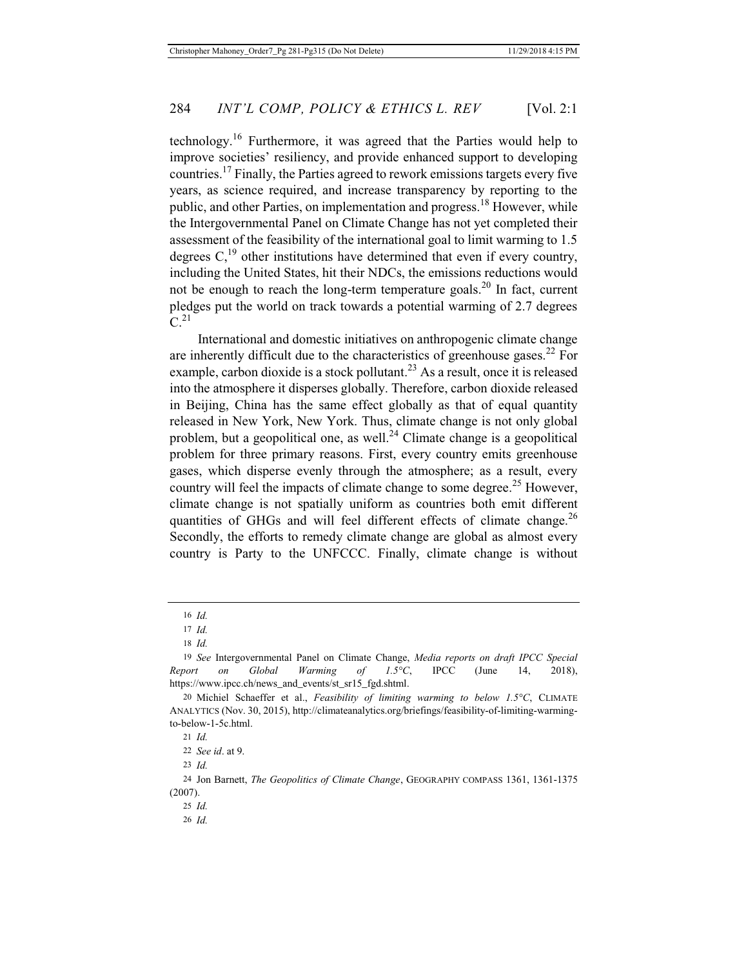technology.16 Furthermore, it was agreed that the Parties would help to improve societies' resiliency, and provide enhanced support to developing countries.17 Finally, the Parties agreed to rework emissions targets every five years, as science required, and increase transparency by reporting to the public, and other Parties, on implementation and progress.<sup>18</sup> However, while the Intergovernmental Panel on Climate Change has not yet completed their assessment of the feasibility of the international goal to limit warming to 1.5 degrees  $C<sub>1</sub><sup>19</sup>$  other institutions have determined that even if every country, including the United States, hit their NDCs, the emissions reductions would not be enough to reach the long-term temperature goals.<sup>20</sup> In fact, current pledges put the world on track towards a potential warming of 2.7 degrees  $C<sup>21</sup>$ 

International and domestic initiatives on anthropogenic climate change are inherently difficult due to the characteristics of greenhouse gases.<sup>22</sup> For example, carbon dioxide is a stock pollutant.<sup>23</sup> As a result, once it is released into the atmosphere it disperses globally. Therefore, carbon dioxide released in Beijing, China has the same effect globally as that of equal quantity released in New York, New York. Thus, climate change is not only global problem, but a geopolitical one, as well. $^{24}$  Climate change is a geopolitical problem for three primary reasons. First, every country emits greenhouse gases, which disperse evenly through the atmosphere; as a result, every country will feel the impacts of climate change to some degree.<sup>25</sup> However, climate change is not spatially uniform as countries both emit different quantities of GHGs and will feel different effects of climate change.<sup>26</sup> Secondly, the efforts to remedy climate change are global as almost every country is Party to the UNFCCC. Finally, climate change is without

<sup>16</sup> *Id.*

<sup>17</sup> *Id.*

<sup>18</sup> *Id.*

<sup>19</sup> *See* Intergovernmental Panel on Climate Change, *Media reports on draft IPCC Special Report on Global Warming of 1.5°C*, IPCC (June 14, 2018), https://www.ipcc.ch/news\_and\_events/st\_sr15\_fgd.shtml.

<sup>20</sup> Michiel Schaeffer et al., *Feasibility of limiting warming to below 1.5°C*, CLIMATE ANALYTICS (Nov. 30, 2015), http://climateanalytics.org/briefings/feasibility-of-limiting-warmingto-below-1-5c.html.

<sup>21</sup> *Id.*

<sup>22</sup> *See id*. at 9.

<sup>23</sup> *Id.*

<sup>24</sup> Jon Barnett, *The Geopolitics of Climate Change*, GEOGRAPHY COMPASS 1361, 1361-1375 (2007).

<sup>25</sup> *Id.*

<sup>26</sup> *Id.*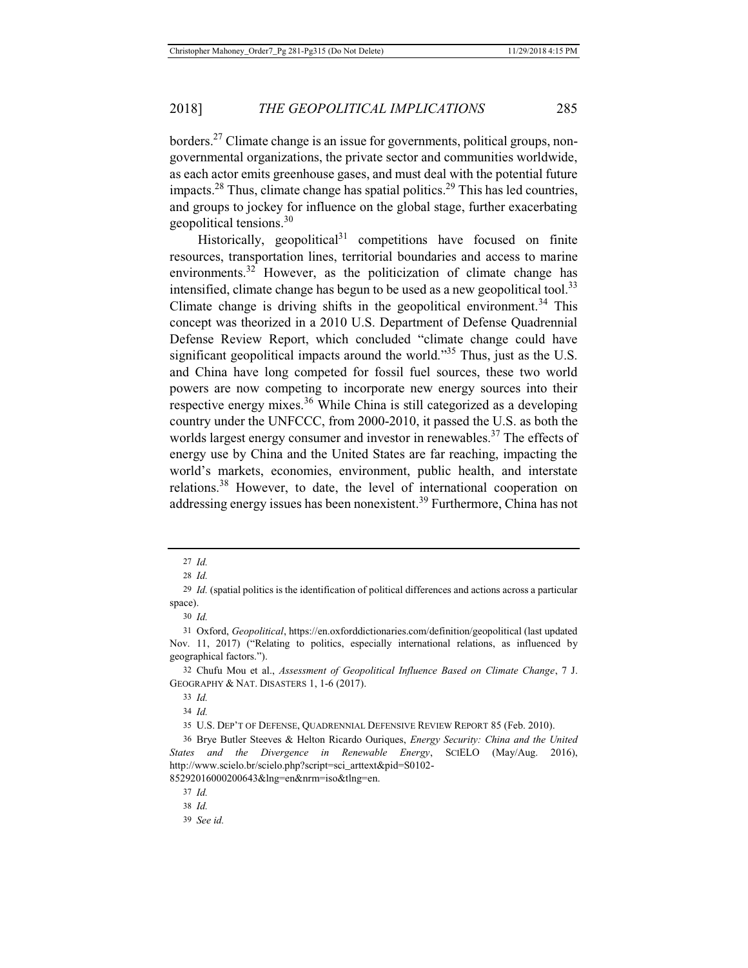borders.27 Climate change is an issue for governments, political groups, nongovernmental organizations, the private sector and communities worldwide, as each actor emits greenhouse gases, and must deal with the potential future impacts.<sup>28</sup> Thus, climate change has spatial politics.<sup>29</sup> This has led countries, and groups to jockey for influence on the global stage, further exacerbating geopolitical tensions.30

Historically, geopolitical $31$  competitions have focused on finite resources, transportation lines, territorial boundaries and access to marine environments.<sup>32</sup> However, as the politicization of climate change has intensified, climate change has begun to be used as a new geopolitical tool.<sup>33</sup> Climate change is driving shifts in the geopolitical environment.<sup>34</sup> This concept was theorized in a 2010 U.S. Department of Defense Quadrennial Defense Review Report, which concluded "climate change could have significant geopolitical impacts around the world."<sup>35</sup> Thus, just as the U.S. and China have long competed for fossil fuel sources, these two world powers are now competing to incorporate new energy sources into their respective energy mixes.<sup>36</sup> While China is still categorized as a developing country under the UNFCCC, from 2000-2010, it passed the U.S. as both the worlds largest energy consumer and investor in renewables.<sup>37</sup> The effects of energy use by China and the United States are far reaching, impacting the world's markets, economies, environment, public health, and interstate relations.38 However, to date, the level of international cooperation on addressing energy issues has been nonexistent.<sup>39</sup> Furthermore, China has not

30 *Id.*

33 *Id.*

34 *Id.*

<sup>27</sup> *Id.*

<sup>28</sup> *Id.*

<sup>29</sup> *Id.* (spatial politics is the identification of political differences and actions across a particular space).

<sup>31</sup> Oxford, *Geopolitical*, https://en.oxforddictionaries.com/definition/geopolitical (last updated Nov. 11, 2017) ("Relating to politics, especially international relations, as influenced by geographical factors.").

<sup>32</sup> Chufu Mou et al., *Assessment of Geopolitical Influence Based on Climate Change*, 7 J. GEOGRAPHY & NAT. DISASTERS 1, 1-6 (2017).

<sup>35</sup> U.S. DEP'T OF DEFENSE, QUADRENNIAL DEFENSIVE REVIEW REPORT 85 (Feb. 2010).

<sup>36</sup> Brye Butler Steeves & Helton Ricardo Ouriques, *Energy Security: China and the United States and the Divergence in Renewable Energy*, SCIELO (May/Aug. 2016), http://www.scielo.br/scielo.php?script=sci\_arttext&pid=S0102- 85292016000200643&lng=en&nrm=iso&tlng=en.

<sup>37</sup> *Id.*

<sup>38</sup> *Id.*

<sup>39</sup> *See id.*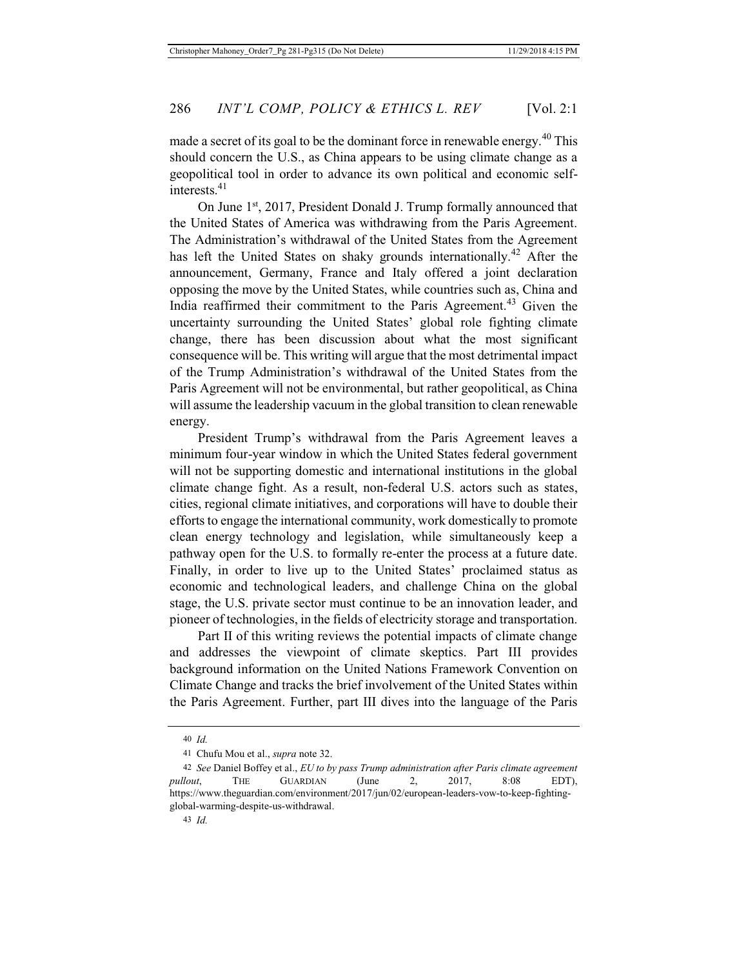On June 1<sup>st</sup>, 2017, President Donald J. Trump formally announced that the United States of America was withdrawing from the Paris Agreement. The Administration's withdrawal of the United States from the Agreement has left the United States on shaky grounds internationally.<sup>42</sup> After the announcement, Germany, France and Italy offered a joint declaration opposing the move by the United States, while countries such as, China and India reaffirmed their commitment to the Paris Agreement.<sup>43</sup> Given the uncertainty surrounding the United States' global role fighting climate change, there has been discussion about what the most significant consequence will be. This writing will argue that the most detrimental impact of the Trump Administration's withdrawal of the United States from the Paris Agreement will not be environmental, but rather geopolitical, as China will assume the leadership vacuum in the global transition to clean renewable energy.

President Trump's withdrawal from the Paris Agreement leaves a minimum four-year window in which the United States federal government will not be supporting domestic and international institutions in the global climate change fight. As a result, non-federal U.S. actors such as states, cities, regional climate initiatives, and corporations will have to double their efforts to engage the international community, work domestically to promote clean energy technology and legislation, while simultaneously keep a pathway open for the U.S. to formally re-enter the process at a future date. Finally, in order to live up to the United States' proclaimed status as economic and technological leaders, and challenge China on the global stage, the U.S. private sector must continue to be an innovation leader, and pioneer of technologies, in the fields of electricity storage and transportation.

Part II of this writing reviews the potential impacts of climate change and addresses the viewpoint of climate skeptics. Part III provides background information on the United Nations Framework Convention on Climate Change and tracks the brief involvement of the United States within the Paris Agreement. Further, part III dives into the language of the Paris

<sup>40</sup> *Id.*

<sup>41</sup> Chufu Mou et al., *supra* note 32.

<sup>42</sup> *See* Daniel Boffey et al., *EU to by pass Trump administration after Paris climate agreement pullout*, THE GUARDIAN (June 2, 2017, 8:08 EDT), https://www.theguardian.com/environment/2017/jun/02/european-leaders-vow-to-keep-fightingglobal-warming-despite-us-withdrawal.

<sup>43</sup> *Id.*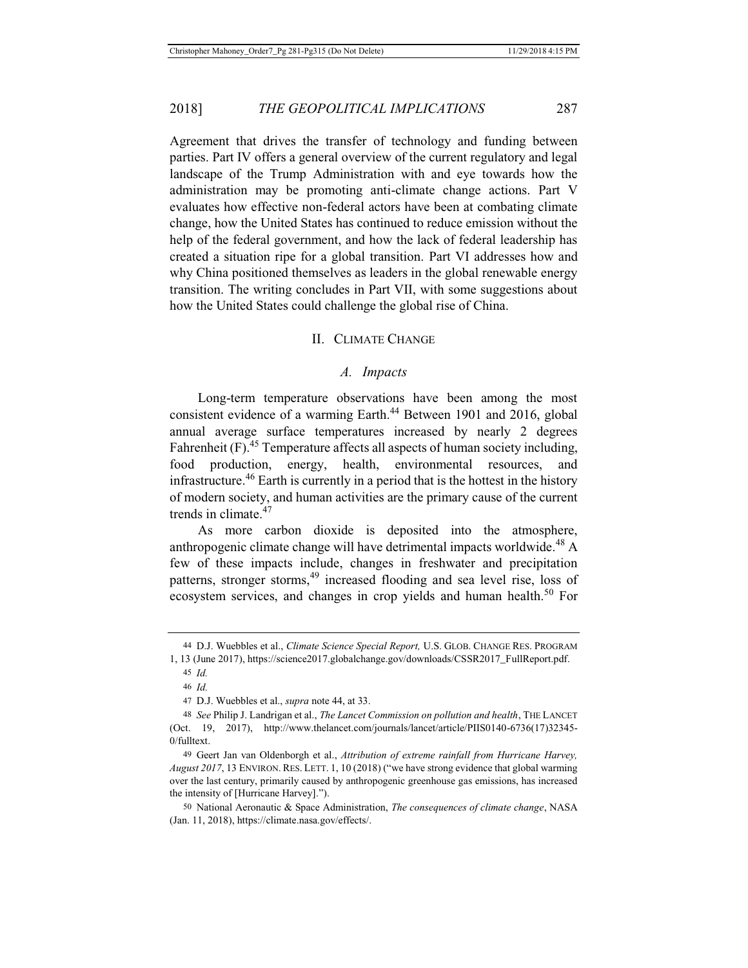Agreement that drives the transfer of technology and funding between parties. Part IV offers a general overview of the current regulatory and legal landscape of the Trump Administration with and eye towards how the administration may be promoting anti-climate change actions. Part V evaluates how effective non-federal actors have been at combating climate change, how the United States has continued to reduce emission without the help of the federal government, and how the lack of federal leadership has created a situation ripe for a global transition. Part VI addresses how and why China positioned themselves as leaders in the global renewable energy transition. The writing concludes in Part VII, with some suggestions about how the United States could challenge the global rise of China.

#### II. CLIMATE CHANGE

#### *A. Impacts*

Long-term temperature observations have been among the most consistent evidence of a warming Earth.<sup>44</sup> Between 1901 and 2016, global annual average surface temperatures increased by nearly 2 degrees Fahrenheit  $(F)$ .<sup>45</sup> Temperature affects all aspects of human society including, food production, energy, health, environmental resources, and infrastructure.<sup>46</sup> Earth is currently in a period that is the hottest in the history of modern society, and human activities are the primary cause of the current trends in climate.<sup>47</sup>

As more carbon dioxide is deposited into the atmosphere, anthropogenic climate change will have detrimental impacts worldwide.<sup>48</sup> A few of these impacts include, changes in freshwater and precipitation patterns, stronger storms,<sup>49</sup> increased flooding and sea level rise, loss of ecosystem services, and changes in crop yields and human health.<sup>50</sup> For

<sup>44</sup> D.J. Wuebbles et al., *Climate Science Special Report,* U.S. GLOB. CHANGE RES. PROGRAM 1, 13 (June 2017), https://science2017.globalchange.gov/downloads/CSSR2017\_FullReport.pdf.

<sup>45</sup> *Id.*

<sup>46</sup> *Id.*

<sup>47</sup> D.J. Wuebbles et al., *supra* note 44, at 33.

<sup>48</sup> *See* Philip J. Landrigan et al., *The Lancet Commission on pollution and health*, THE LANCET (Oct. 19, 2017), http://www.thelancet.com/journals/lancet/article/PIIS0140-6736(17)32345- 0/fulltext.

<sup>49</sup> Geert Jan van Oldenborgh et al., *Attribution of extreme rainfall from Hurricane Harvey, August 2017*, 13 ENVIRON. RES. LETT. 1, 10 (2018) ("we have strong evidence that global warming over the last century, primarily caused by anthropogenic greenhouse gas emissions, has increased the intensity of [Hurricane Harvey].").

<sup>50</sup> National Aeronautic & Space Administration, *The consequences of climate change*, NASA (Jan. 11, 2018), https://climate.nasa.gov/effects/.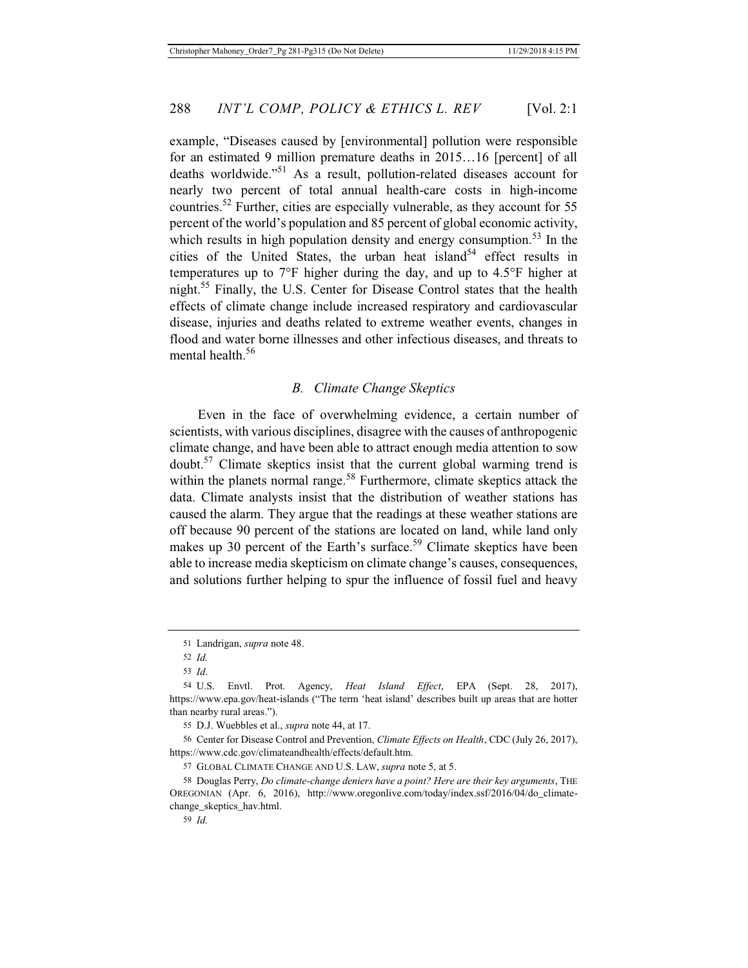example, "Diseases caused by [environmental] pollution were responsible for an estimated 9 million premature deaths in 2015…16 [percent] of all deaths worldwide."51 As a result, pollution-related diseases account for nearly two percent of total annual health-care costs in high-income countries.52 Further, cities are especially vulnerable, as they account for 55 percent of the world's population and 85 percent of global economic activity, which results in high population density and energy consumption.<sup>53</sup> In the cities of the United States, the urban heat island<sup>54</sup> effect results in temperatures up to 7°F higher during the day, and up to 4.5°F higher at night.55 Finally, the U.S. Center for Disease Control states that the health effects of climate change include increased respiratory and cardiovascular disease, injuries and deaths related to extreme weather events, changes in flood and water borne illnesses and other infectious diseases, and threats to mental health.<sup>56</sup>

## *B. Climate Change Skeptics*

Even in the face of overwhelming evidence, a certain number of scientists, with various disciplines, disagree with the causes of anthropogenic climate change, and have been able to attract enough media attention to sow doubt.57 Climate skeptics insist that the current global warming trend is within the planets normal range.<sup>58</sup> Furthermore, climate skeptics attack the data. Climate analysts insist that the distribution of weather stations has caused the alarm. They argue that the readings at these weather stations are off because 90 percent of the stations are located on land, while land only makes up 30 percent of the Earth's surface.<sup>59</sup> Climate skeptics have been able to increase media skepticism on climate change's causes, consequences, and solutions further helping to spur the influence of fossil fuel and heavy

<sup>51</sup> Landrigan, *supra* note 48.

<sup>52</sup> *Id.*

<sup>53</sup> *Id*.

<sup>54</sup> U.S. Envtl. Prot. Agency, *Heat Island Effect*, EPA (Sept. 28, 2017), https://www.epa.gov/heat-islands ("The term 'heat island' describes built up areas that are hotter than nearby rural areas.").

<sup>55</sup> D.J. Wuebbles et al., *supra* note 44, at 17.

<sup>56</sup> Center for Disease Control and Prevention, *Climate Effects on Health*, CDC (July 26, 2017), https://www.cdc.gov/climateandhealth/effects/default.htm.

<sup>57</sup> GLOBAL CLIMATE CHANGE AND U.S. LAW, *supra* note 5, at 5.

<sup>58</sup> Douglas Perry, *Do climate-change deniers have a point? Here are their key arguments*, THE OREGONIAN (Apr. 6, 2016), http://www.oregonlive.com/today/index.ssf/2016/04/do\_climatechange\_skeptics\_hav.html.

<sup>59</sup> *Id.*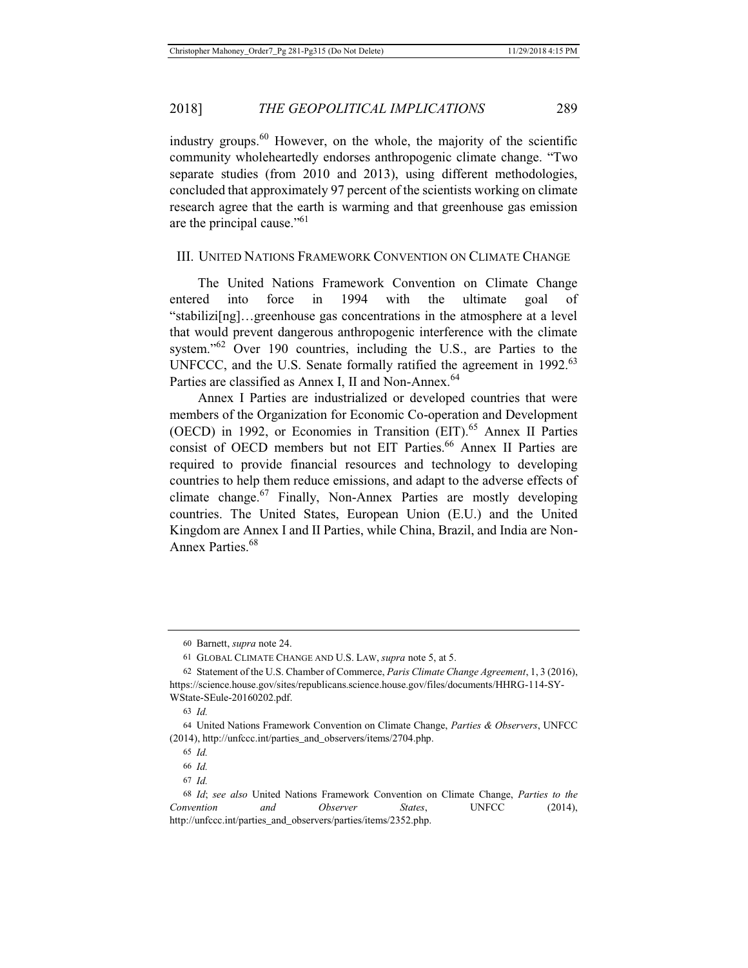industry groups. $60$  However, on the whole, the majority of the scientific community wholeheartedly endorses anthropogenic climate change. "Two separate studies (from 2010 and 2013), using different methodologies, concluded that approximately 97 percent of the scientists working on climate research agree that the earth is warming and that greenhouse gas emission are the principal cause."61

## III. UNITED NATIONS FRAMEWORK CONVENTION ON CLIMATE CHANGE

The United Nations Framework Convention on Climate Change entered into force in 1994 with the ultimate goal of "stabilizi[ng]…greenhouse gas concentrations in the atmosphere at a level that would prevent dangerous anthropogenic interference with the climate system."<sup>62</sup> Over 190 countries, including the U.S., are Parties to the UNFCCC, and the U.S. Senate formally ratified the agreement in  $1992<sup>63</sup>$ Parties are classified as Annex I, II and Non-Annex.<sup>64</sup>

Annex I Parties are industrialized or developed countries that were members of the Organization for Economic Co-operation and Development (OECD) in 1992, or Economies in Transition  $(EIT)$ .<sup>65</sup> Annex II Parties consist of OECD members but not EIT Parties.<sup>66</sup> Annex II Parties are required to provide financial resources and technology to developing countries to help them reduce emissions, and adapt to the adverse effects of climate change.<sup>67</sup> Finally, Non-Annex Parties are mostly developing countries. The United States, European Union (E.U.) and the United Kingdom are Annex I and II Parties, while China, Brazil, and India are Non-Annex Parties.<sup>68</sup>

<sup>60</sup> Barnett, *supra* note 24.

<sup>61</sup> GLOBAL CLIMATE CHANGE AND U.S. LAW, *supra* note 5, at 5.

<sup>62</sup> Statement of the U.S. Chamber of Commerce, *Paris Climate Change Agreement*, 1, 3 (2016), https://science.house.gov/sites/republicans.science.house.gov/files/documents/HHRG-114-SY-WState-SEule-20160202.pdf.

<sup>63</sup> *Id.*

<sup>64</sup> United Nations Framework Convention on Climate Change, *Parties & Observers*, UNFCC (2014), http://unfccc.int/parties\_and\_observers/items/2704.php.

<sup>65</sup> *Id.*

<sup>66</sup> *Id.*

<sup>67</sup> *Id.*

<sup>68</sup> *Id*; *see also* United Nations Framework Convention on Climate Change, *Parties to the Convention and Observer States*, UNFCC (2014), http://unfccc.int/parties\_and\_observers/parties/items/2352.php.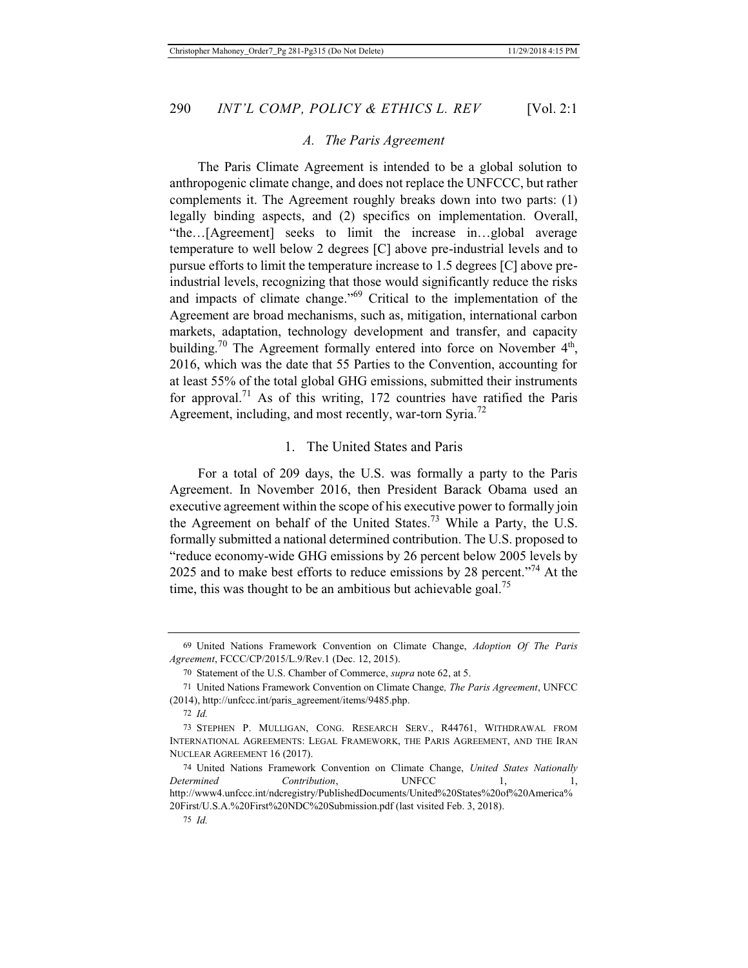#### *A. The Paris Agreement*

The Paris Climate Agreement is intended to be a global solution to anthropogenic climate change, and does not replace the UNFCCC, but rather complements it. The Agreement roughly breaks down into two parts: (1) legally binding aspects, and (2) specifics on implementation. Overall, "the…[Agreement] seeks to limit the increase in…global average temperature to well below 2 degrees [C] above pre-industrial levels and to pursue efforts to limit the temperature increase to 1.5 degrees [C] above preindustrial levels, recognizing that those would significantly reduce the risks and impacts of climate change."69 Critical to the implementation of the Agreement are broad mechanisms, such as, mitigation, international carbon markets, adaptation, technology development and transfer, and capacity building.<sup>70</sup> The Agreement formally entered into force on November  $4<sup>th</sup>$ , 2016, which was the date that 55 Parties to the Convention, accounting for at least 55% of the total global GHG emissions, submitted their instruments for approval.<sup>71</sup> As of this writing, 172 countries have ratified the Paris Agreement, including, and most recently, war-torn Syria.<sup>72</sup>

#### 1. The United States and Paris

For a total of 209 days, the U.S. was formally a party to the Paris Agreement. In November 2016, then President Barack Obama used an executive agreement within the scope of his executive power to formally join the Agreement on behalf of the United States.<sup>73</sup> While a Party, the U.S. formally submitted a national determined contribution. The U.S. proposed to "reduce economy-wide GHG emissions by 26 percent below 2005 levels by 2025 and to make best efforts to reduce emissions by 28 percent."74 At the time, this was thought to be an ambitious but achievable goal.<sup>75</sup>

<sup>69</sup> United Nations Framework Convention on Climate Change, *Adoption Of The Paris Agreement*, FCCC/CP/2015/L.9/Rev.1 (Dec. 12, 2015).

<sup>70</sup> Statement of the U.S. Chamber of Commerce, *supra* note 62, at 5.

<sup>71</sup> United Nations Framework Convention on Climate Change*, The Paris Agreement*, UNFCC (2014), http://unfccc.int/paris\_agreement/items/9485.php.

<sup>72</sup> *Id.*

<sup>73</sup> STEPHEN P. MULLIGAN, CONG. RESEARCH SERV., R44761, WITHDRAWAL FROM INTERNATIONAL AGREEMENTS: LEGAL FRAMEWORK, THE PARIS AGREEMENT, AND THE IRAN NUCLEAR AGREEMENT 16 (2017).

<sup>74</sup> United Nations Framework Convention on Climate Change, *United States Nationally Determined Contribution*, UNFCC 1, 1, http://www4.unfccc.int/ndcregistry/PublishedDocuments/United%20States%20of%20America% 20First/U.S.A.%20First%20NDC%20Submission.pdf (last visited Feb. 3, 2018).

<sup>75</sup> *Id.*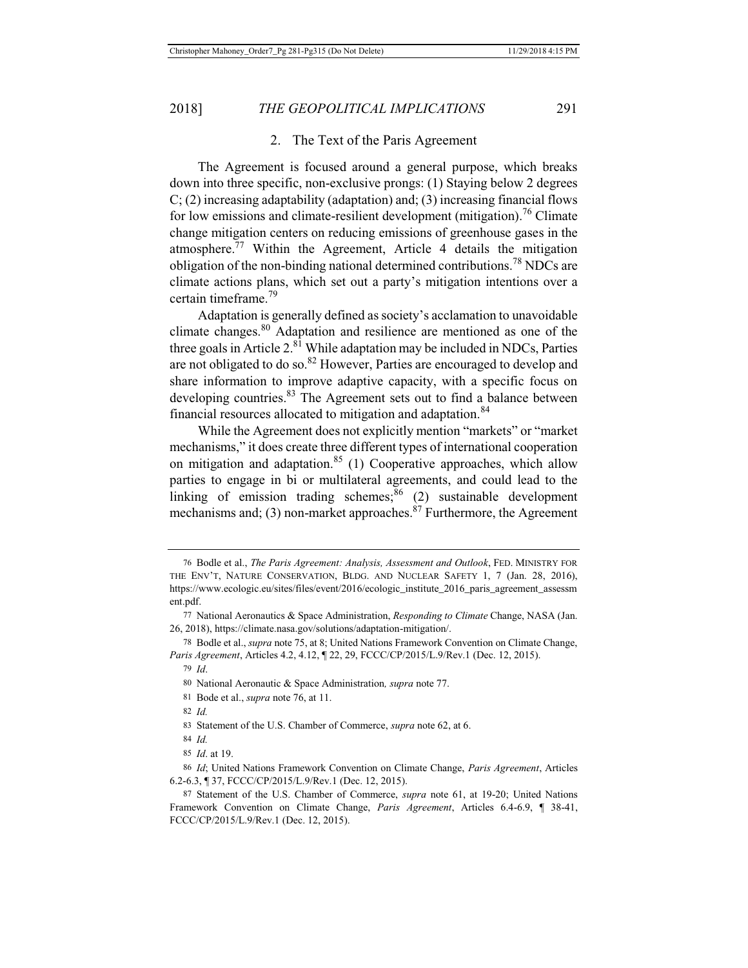#### 2. The Text of the Paris Agreement

The Agreement is focused around a general purpose, which breaks down into three specific, non-exclusive prongs: (1) Staying below 2 degrees  $C$ ; (2) increasing adaptability (adaptation) and; (3) increasing financial flows for low emissions and climate-resilient development (mitigation).<sup>76</sup> Climate change mitigation centers on reducing emissions of greenhouse gases in the atmosphere. $77$  Within the Agreement, Article 4 details the mitigation obligation of the non-binding national determined contributions.<sup>78</sup> NDCs are climate actions plans, which set out a party's mitigation intentions over a certain timeframe.79

Adaptation is generally defined as society's acclamation to unavoidable climate changes.80 Adaptation and resilience are mentioned as one of the three goals in Article  $2.^{81}$  While adaptation may be included in NDCs, Parties are not obligated to do so.<sup>82</sup> However, Parties are encouraged to develop and share information to improve adaptive capacity, with a specific focus on developing countries.<sup>83</sup> The Agreement sets out to find a balance between financial resources allocated to mitigation and adaptation.<sup>84</sup>

While the Agreement does not explicitly mention "markets" or "market mechanisms," it does create three different types of international cooperation on mitigation and adaptation.<sup>85</sup> (1) Cooperative approaches, which allow parties to engage in bi or multilateral agreements, and could lead to the linking of emission trading schemes; $86$  (2) sustainable development mechanisms and; (3) non-market approaches. $87$  Furthermore, the Agreement

81 Bode et al., *supra* note 76, at 11.

<sup>76</sup> Bodle et al., *The Paris Agreement: Analysis, Assessment and Outlook*, FED. MINISTRY FOR THE ENV'T, NATURE CONSERVATION, BLDG. AND NUCLEAR SAFETY 1, 7 (Jan. 28, 2016), https://www.ecologic.eu/sites/files/event/2016/ecologic\_institute\_2016\_paris\_agreement\_assessm ent.pdf.

<sup>77</sup> National Aeronautics & Space Administration, *Responding to Climate* Change, NASA (Jan. 26, 2018), https://climate.nasa.gov/solutions/adaptation-mitigation/.

<sup>78</sup> Bodle et al., *supra* note 75, at 8; United Nations Framework Convention on Climate Change, *Paris Agreement*, Articles 4.2, 4.12, ¶ 22, 29, FCCC/CP/2015/L.9/Rev.1 (Dec. 12, 2015).

<sup>79</sup> *Id*.

<sup>80</sup> National Aeronautic & Space Administration*, supra* note 77.

<sup>82</sup> *Id.*

<sup>83</sup> Statement of the U.S. Chamber of Commerce, *supra* note 62, at 6.

<sup>84</sup> *Id.*

<sup>85</sup> *Id*. at 19.

<sup>86</sup> *Id*; United Nations Framework Convention on Climate Change, *Paris Agreement*, Articles 6.2-6.3, ¶ 37, FCCC/CP/2015/L.9/Rev.1 (Dec. 12, 2015).

<sup>87</sup> Statement of the U.S. Chamber of Commerce, *supra* note 61, at 19-20; United Nations Framework Convention on Climate Change, *Paris Agreement*, Articles 6.4-6.9, ¶ 38-41, FCCC/CP/2015/L.9/Rev.1 (Dec. 12, 2015).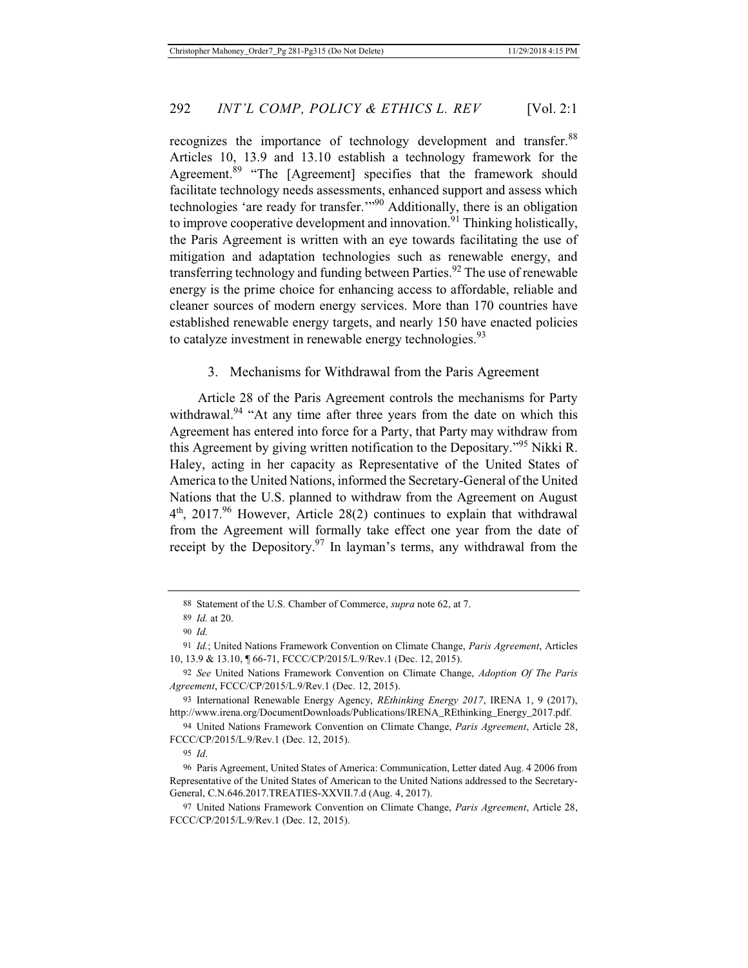recognizes the importance of technology development and transfer.<sup>88</sup> Articles 10, 13.9 and 13.10 establish a technology framework for the Agreement.<sup>89</sup> "The [Agreement] specifies that the framework should facilitate technology needs assessments, enhanced support and assess which technologies 'are ready for transfer.'"90 Additionally, there is an obligation to improve cooperative development and innovation.<sup>91</sup> Thinking holistically, the Paris Agreement is written with an eye towards facilitating the use of mitigation and adaptation technologies such as renewable energy, and transferring technology and funding between Parties.<sup>92</sup> The use of renewable energy is the prime choice for enhancing access to affordable, reliable and cleaner sources of modern energy services. More than 170 countries have established renewable energy targets, and nearly 150 have enacted policies to catalyze investment in renewable energy technologies.<sup>93</sup>

## 3. Mechanisms for Withdrawal from the Paris Agreement

Article 28 of the Paris Agreement controls the mechanisms for Party withdrawal.<sup>94</sup> "At any time after three years from the date on which this Agreement has entered into force for a Party, that Party may withdraw from this Agreement by giving written notification to the Depositary."95 Nikki R. Haley, acting in her capacity as Representative of the United States of America to the United Nations, informed the Secretary-General of the United Nations that the U.S. planned to withdraw from the Agreement on August  $4<sup>th</sup>$ , 2017.<sup>96</sup> However, Article 28(2) continues to explain that withdrawal from the Agreement will formally take effect one year from the date of receipt by the Depository.<sup>97</sup> In layman's terms, any withdrawal from the

<sup>88</sup> Statement of the U.S. Chamber of Commerce, *supra* note 62, at 7.

<sup>89</sup> *Id.* at 20.

<sup>90</sup> *Id.*

<sup>91</sup> *Id.*; United Nations Framework Convention on Climate Change, *Paris Agreement*, Articles 10, 13.9 & 13.10, ¶ 66-71, FCCC/CP/2015/L.9/Rev.1 (Dec. 12, 2015).

<sup>92</sup> *See* United Nations Framework Convention on Climate Change, *Adoption Of The Paris Agreement*, FCCC/CP/2015/L.9/Rev.1 (Dec. 12, 2015).

<sup>93</sup> International Renewable Energy Agency, *REthinking Energy 2017*, IRENA 1, 9 (2017), http://www.irena.org/DocumentDownloads/Publications/IRENA\_REthinking\_Energy\_2017.pdf.

<sup>94</sup> United Nations Framework Convention on Climate Change, *Paris Agreement*, Article 28, FCCC/CP/2015/L.9/Rev.1 (Dec. 12, 2015).

<sup>95</sup> *Id*.

<sup>96</sup> Paris Agreement, United States of America: Communication, Letter dated Aug. 4 2006 from Representative of the United States of American to the United Nations addressed to the Secretary-General, C.N.646.2017.TREATIES-XXVII.7.d (Aug. 4, 2017).

<sup>97</sup> United Nations Framework Convention on Climate Change, *Paris Agreement*, Article 28, FCCC/CP/2015/L.9/Rev.1 (Dec. 12, 2015).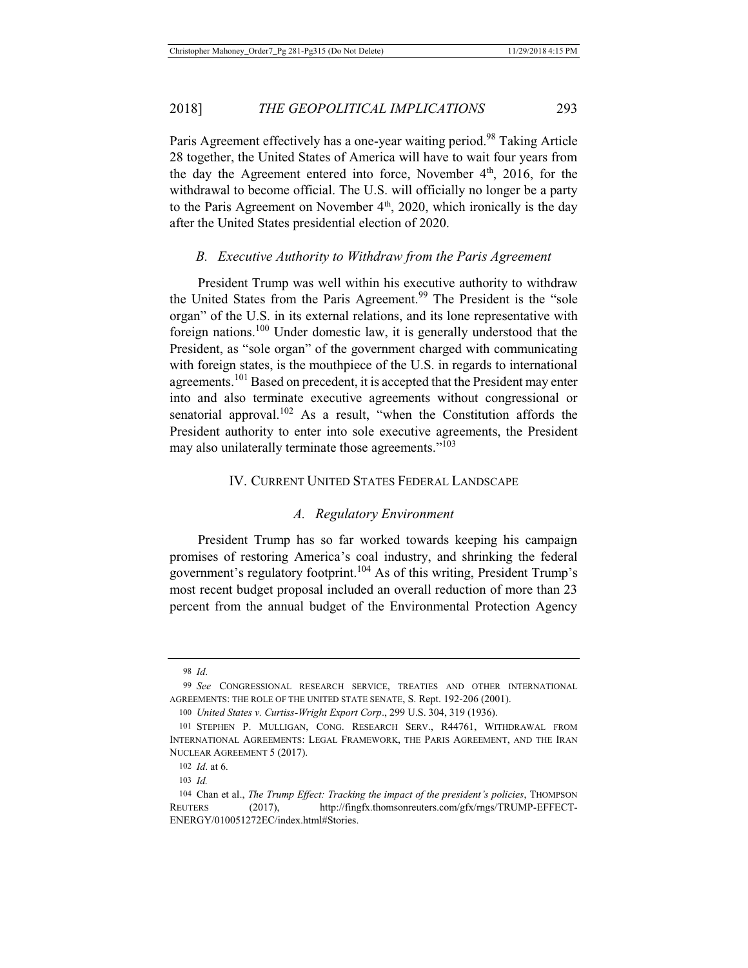Paris Agreement effectively has a one-year waiting period.<sup>98</sup> Taking Article 28 together, the United States of America will have to wait four years from the day the Agreement entered into force, November 4<sup>th</sup>, 2016, for the withdrawal to become official. The U.S. will officially no longer be a party to the Paris Agreement on November  $4<sup>th</sup>$ , 2020, which ironically is the day after the United States presidential election of 2020.

## *B. Executive Authority to Withdraw from the Paris Agreement*

President Trump was well within his executive authority to withdraw the United States from the Paris Agreement.<sup>99</sup> The President is the "sole organ" of the U.S. in its external relations, and its lone representative with foreign nations.<sup>100</sup> Under domestic law, it is generally understood that the President, as "sole organ" of the government charged with communicating with foreign states, is the mouthpiece of the U.S. in regards to international agreements.<sup>101</sup> Based on precedent, it is accepted that the President may enter into and also terminate executive agreements without congressional or senatorial approval.<sup>102</sup> As a result, "when the Constitution affords the President authority to enter into sole executive agreements, the President may also unilaterally terminate those agreements."<sup>103</sup>

## IV. CURRENT UNITED STATES FEDERAL LANDSCAPE

## *A. Regulatory Environment*

President Trump has so far worked towards keeping his campaign promises of restoring America's coal industry, and shrinking the federal government's regulatory footprint.104 As of this writing, President Trump's most recent budget proposal included an overall reduction of more than 23 percent from the annual budget of the Environmental Protection Agency

<sup>98</sup> *Id*.

<sup>99</sup> *See* CONGRESSIONAL RESEARCH SERVICE, TREATIES AND OTHER INTERNATIONAL AGREEMENTS: THE ROLE OF THE UNITED STATE SENATE, S. Rept. 192-206 (2001).

<sup>100</sup> *United States v. Curtiss-Wright Export Corp*., 299 U.S. 304, 319 (1936).

<sup>101</sup> STEPHEN P. MULLIGAN, CONG. RESEARCH SERV., R44761, WITHDRAWAL FROM INTERNATIONAL AGREEMENTS: LEGAL FRAMEWORK, THE PARIS AGREEMENT, AND THE IRAN NUCLEAR AGREEMENT 5 (2017).

<sup>102</sup> *Id*. at 6.

<sup>103</sup> *Id.*

<sup>104</sup> Chan et al., *The Trump Effect: Tracking the impact of the president's policies*, THOMPSON REUTERS (2017), http://fingfx.thomsonreuters.com/gfx/rngs/TRUMP-EFFECT-ENERGY/010051272EC/index.html#Stories.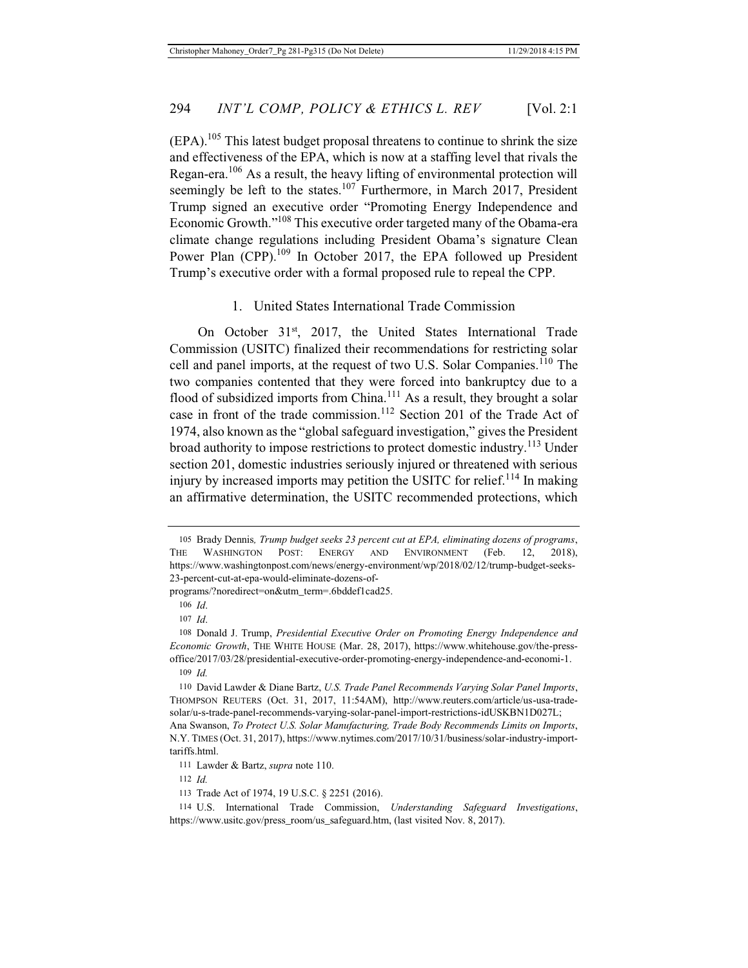$(EPA)$ .<sup>105</sup> This latest budget proposal threatens to continue to shrink the size and effectiveness of the EPA, which is now at a staffing level that rivals the Regan-era.106 As a result, the heavy lifting of environmental protection will seemingly be left to the states.<sup>107</sup> Furthermore, in March 2017, President Trump signed an executive order "Promoting Energy Independence and Economic Growth."108 This executive order targeted many of the Obama-era climate change regulations including President Obama's signature Clean Power Plan (CPP).<sup>109</sup> In October 2017, the EPA followed up President Trump's executive order with a formal proposed rule to repeal the CPP.

## 1. United States International Trade Commission

On October 31<sup>st</sup>, 2017, the United States International Trade Commission (USITC) finalized their recommendations for restricting solar cell and panel imports, at the request of two U.S. Solar Companies.<sup>110</sup> The two companies contented that they were forced into bankruptcy due to a flood of subsidized imports from China.<sup>111</sup> As a result, they brought a solar case in front of the trade commission.<sup>112</sup> Section 201 of the Trade Act of 1974, also known as the "global safeguard investigation," gives the President broad authority to impose restrictions to protect domestic industry.<sup>113</sup> Under section 201, domestic industries seriously injured or threatened with serious injury by increased imports may petition the USITC for relief.<sup>114</sup> In making an affirmative determination, the USITC recommended protections, which

programs/?noredirect=on&utm\_term=.6bddef1cad25.

<sup>105</sup> Brady Dennis*, Trump budget seeks 23 percent cut at EPA, eliminating dozens of programs*, THE WASHINGTON POST: ENERGY AND ENVIRONMENT (Feb. 12, 2018), https://www.washingtonpost.com/news/energy-environment/wp/2018/02/12/trump-budget-seeks-23-percent-cut-at-epa-would-eliminate-dozens-of-

<sup>106</sup> *Id*.

<sup>107</sup> *Id*.

<sup>108</sup> Donald J. Trump, *Presidential Executive Order on Promoting Energy Independence and Economic Growth*, THE WHITE HOUSE (Mar. 28, 2017), https://www.whitehouse.gov/the-pressoffice/2017/03/28/presidential-executive-order-promoting-energy-independence-and-economi-1. 109 *Id.*

<sup>110</sup> David Lawder & Diane Bartz, *U.S. Trade Panel Recommends Varying Solar Panel Imports*, THOMPSON REUTERS (Oct. 31, 2017, 11:54AM), http://www.reuters.com/article/us-usa-tradesolar/u-s-trade-panel-recommends-varying-solar-panel-import-restrictions-idUSKBN1D027L; Ana Swanson, *To Protect U.S. Solar Manufacturing, Trade Body Recommends Limits on Imports*, N.Y. TIMES (Oct. 31, 2017), https://www.nytimes.com/2017/10/31/business/solar-industry-importtariffs.html.

<sup>111</sup> Lawder & Bartz, *supra* note 110.

<sup>112</sup> *Id.*

<sup>113</sup> Trade Act of 1974, 19 U.S.C. § 2251 (2016).

<sup>114</sup> U.S. International Trade Commission, *Understanding Safeguard Investigations*, https://www.usitc.gov/press\_room/us\_safeguard.htm, (last visited Nov. 8, 2017).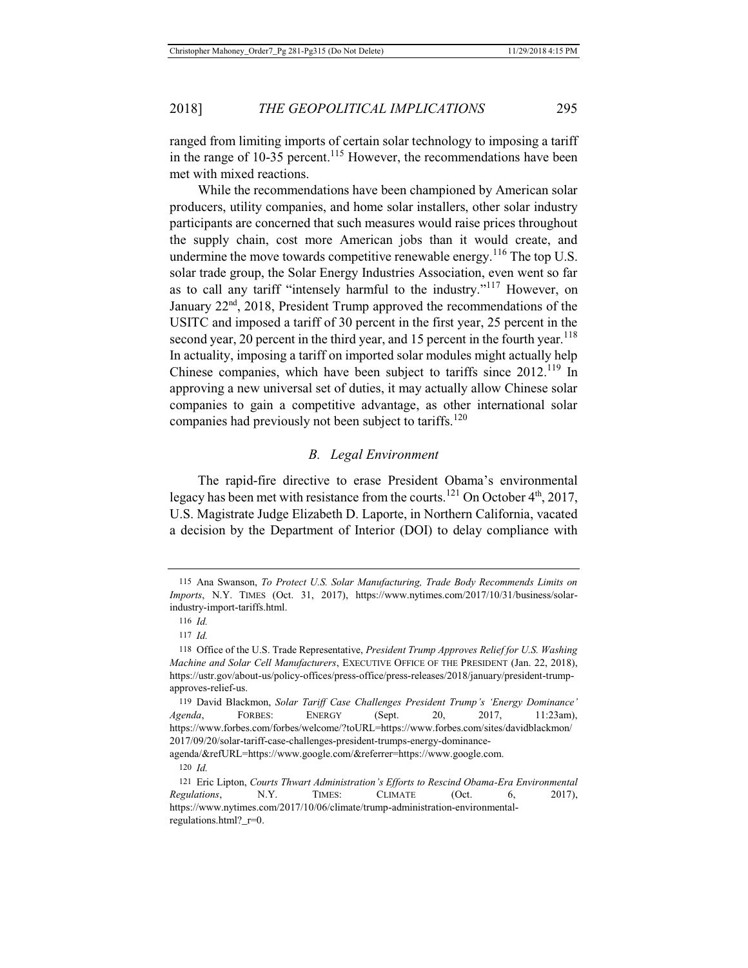ranged from limiting imports of certain solar technology to imposing a tariff in the range of  $10-35$  percent.<sup>115</sup> However, the recommendations have been met with mixed reactions.

While the recommendations have been championed by American solar producers, utility companies, and home solar installers, other solar industry participants are concerned that such measures would raise prices throughout the supply chain, cost more American jobs than it would create, and undermine the move towards competitive renewable energy.<sup>116</sup> The top U.S. solar trade group, the Solar Energy Industries Association, even went so far as to call any tariff "intensely harmful to the industry."117 However, on January 22<sup>nd</sup>, 2018, President Trump approved the recommendations of the USITC and imposed a tariff of 30 percent in the first year, 25 percent in the second year, 20 percent in the third year, and 15 percent in the fourth year.<sup>118</sup> In actuality, imposing a tariff on imported solar modules might actually help Chinese companies, which have been subject to tariffs since  $2012$ <sup>119</sup> In approving a new universal set of duties, it may actually allow Chinese solar companies to gain a competitive advantage, as other international solar companies had previously not been subject to tariffs.<sup>120</sup>

## *B. Legal Environment*

The rapid-fire directive to erase President Obama's environmental legacy has been met with resistance from the courts.<sup>121</sup> On October  $4<sup>th</sup>$ , 2017, U.S. Magistrate Judge Elizabeth D. Laporte, in Northern California, vacated a decision by the Department of Interior (DOI) to delay compliance with

agenda/&refURL=https://www.google.com/&referrer=https://www.google.com.

<sup>115</sup> Ana Swanson, *To Protect U.S. Solar Manufacturing, Trade Body Recommends Limits on Imports*, N.Y. TIMES (Oct. 31, 2017), https://www.nytimes.com/2017/10/31/business/solarindustry-import-tariffs.html.

<sup>116</sup> *Id.*

<sup>117</sup> *Id.*

<sup>118</sup> Office of the U.S. Trade Representative, *President Trump Approves Relief for U.S. Washing Machine and Solar Cell Manufacturers*, EXECUTIVE OFFICE OF THE PRESIDENT (Jan. 22, 2018), https://ustr.gov/about-us/policy-offices/press-office/press-releases/2018/january/president-trumpapproves-relief-us.

<sup>119</sup> David Blackmon, *Solar Tariff Case Challenges President Trump's 'Energy Dominance' Agenda*, FORBES: ENERGY (Sept. 20, 2017, 11:23am), https://www.forbes.com/forbes/welcome/?toURL=https://www.forbes.com/sites/davidblackmon/ 2017/09/20/solar-tariff-case-challenges-president-trumps-energy-dominance-

<sup>120</sup> *Id.*

<sup>121</sup> Eric Lipton, *Courts Thwart Administration's Efforts to Rescind Obama-Era Environmental Regulations*, N.Y. TIMES: CLIMATE (Oct. 6, 2017), https://www.nytimes.com/2017/10/06/climate/trump-administration-environmentalregulations.html? r=0.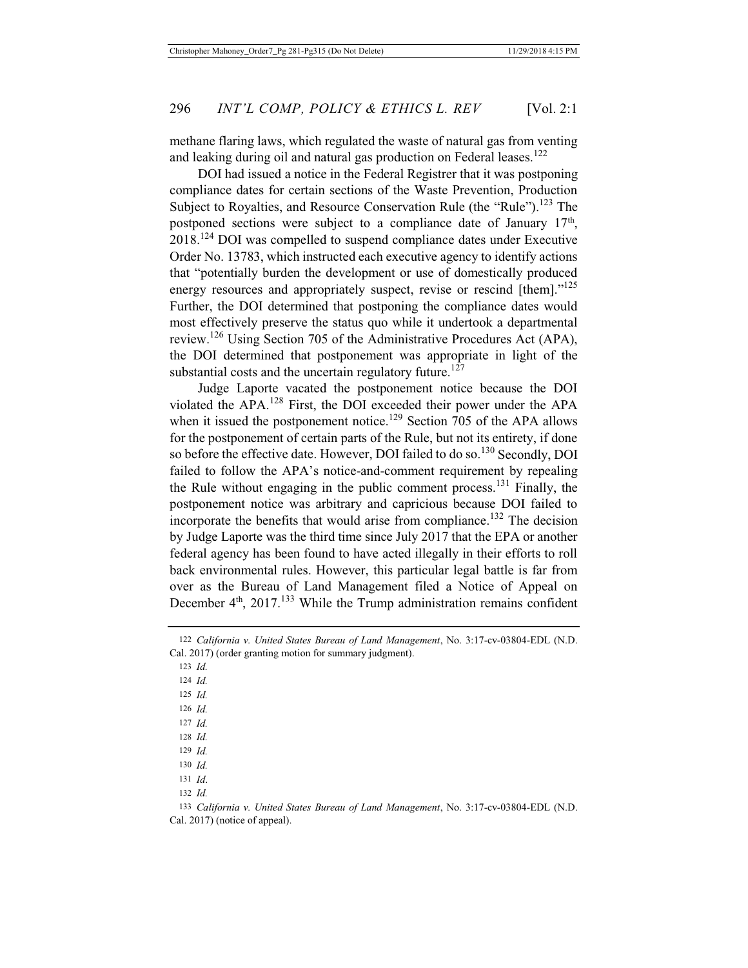methane flaring laws, which regulated the waste of natural gas from venting and leaking during oil and natural gas production on Federal leases.<sup>122</sup>

DOI had issued a notice in the Federal Registrer that it was postponing compliance dates for certain sections of the Waste Prevention, Production Subject to Royalties, and Resource Conservation Rule (the "Rule").<sup>123</sup> The postponed sections were subject to a compliance date of January  $17<sup>th</sup>$ , 2018.124 DOI was compelled to suspend compliance dates under Executive Order No. 13783, which instructed each executive agency to identify actions that "potentially burden the development or use of domestically produced energy resources and appropriately suspect, revise or rescind [them]."<sup>125</sup> Further, the DOI determined that postponing the compliance dates would most effectively preserve the status quo while it undertook a departmental review.<sup>126</sup> Using Section 705 of the Administrative Procedures Act (APA), the DOI determined that postponement was appropriate in light of the substantial costs and the uncertain regulatory future.<sup>127</sup>

Judge Laporte vacated the postponement notice because the DOI violated the APA.128 First, the DOI exceeded their power under the APA when it issued the postponement notice.<sup>129</sup> Section 705 of the APA allows for the postponement of certain parts of the Rule, but not its entirety, if done so before the effective date. However, DOI failed to do so.<sup>130</sup> Secondly, DOI failed to follow the APA's notice-and-comment requirement by repealing the Rule without engaging in the public comment process.<sup>131</sup> Finally, the postponement notice was arbitrary and capricious because DOI failed to incorporate the benefits that would arise from compliance.<sup>132</sup> The decision by Judge Laporte was the third time since July 2017 that the EPA or another federal agency has been found to have acted illegally in their efforts to roll back environmental rules. However, this particular legal battle is far from over as the Bureau of Land Management filed a Notice of Appeal on December 4<sup>th</sup>, 2017.<sup>133</sup> While the Trump administration remains confident

123 *Id.*

124 *Id.*

125 *Id.*

126 *Id.*

127 *Id.*

128 *Id.*

129 *Id.*

130 *Id.*

131 *Id*. 132 *Id.*

<sup>122</sup> *California v. United States Bureau of Land Management*, No. 3:17-cv-03804-EDL (N.D. Cal. 2017) (order granting motion for summary judgment).

<sup>133</sup> *California v. United States Bureau of Land Management*, No. 3:17-cv-03804-EDL (N.D. Cal. 2017) (notice of appeal).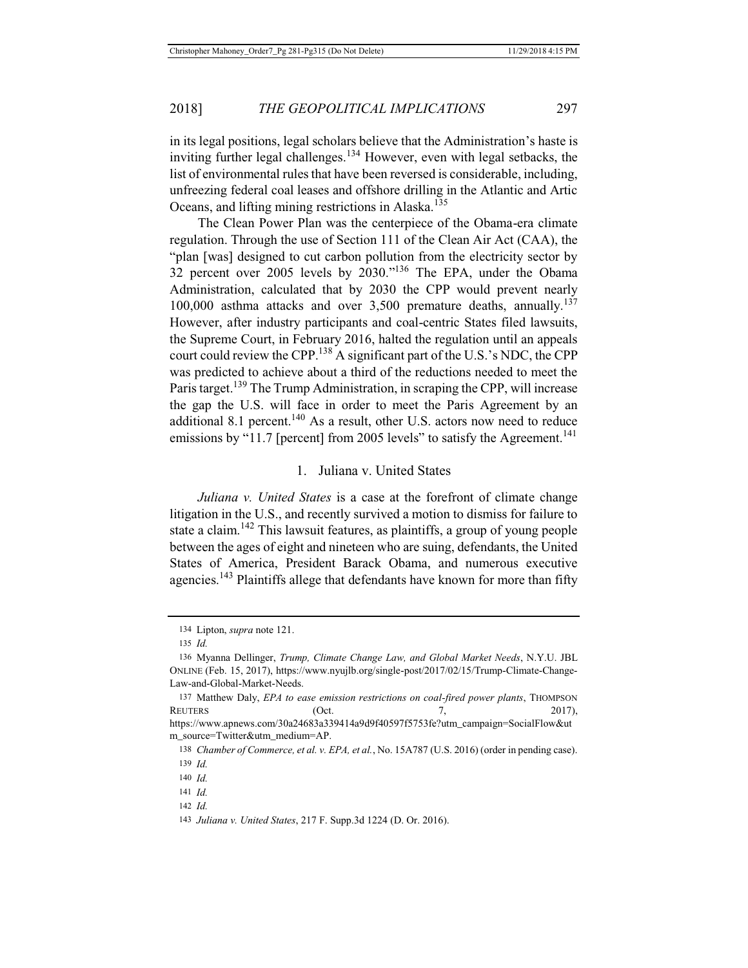in its legal positions, legal scholars believe that the Administration's haste is inviting further legal challenges.<sup>134</sup> However, even with legal setbacks, the list of environmental rules that have been reversed is considerable, including, unfreezing federal coal leases and offshore drilling in the Atlantic and Artic Oceans, and lifting mining restrictions in Alaska.<sup>135</sup>

The Clean Power Plan was the centerpiece of the Obama-era climate regulation. Through the use of Section 111 of the Clean Air Act (CAA), the "plan [was] designed to cut carbon pollution from the electricity sector by 32 percent over 2005 levels by 2030."136 The EPA, under the Obama Administration, calculated that by 2030 the CPP would prevent nearly 100,000 asthma attacks and over  $3,500$  premature deaths, annually.<sup>137</sup> However, after industry participants and coal-centric States filed lawsuits, the Supreme Court, in February 2016, halted the regulation until an appeals court could review the CPP.<sup>138</sup> A significant part of the U.S.'s NDC, the CPP was predicted to achieve about a third of the reductions needed to meet the Paris target.<sup>139</sup> The Trump Administration, in scraping the CPP, will increase the gap the U.S. will face in order to meet the Paris Agreement by an additional 8.1 percent.<sup>140</sup> As a result, other U.S. actors now need to reduce emissions by "11.7 [percent] from 2005 levels" to satisfy the Agreement.<sup>141</sup>

#### 1. Juliana v. United States

*Juliana v. United States* is a case at the forefront of climate change litigation in the U.S., and recently survived a motion to dismiss for failure to state a claim.<sup>142</sup> This lawsuit features, as plaintiffs, a group of young people between the ages of eight and nineteen who are suing, defendants, the United States of America, President Barack Obama, and numerous executive agencies.<sup>143</sup> Plaintiffs allege that defendants have known for more than fifty

<sup>134</sup> Lipton, *supra* note 121.

<sup>135</sup> *Id.*

<sup>136</sup> Myanna Dellinger, *Trump, Climate Change Law, and Global Market Needs*, N.Y.U. JBL ONLINE (Feb. 15, 2017), https://www.nyujlb.org/single-post/2017/02/15/Trump-Climate-Change-Law-and-Global-Market-Needs.

<sup>137</sup> Matthew Daly, *EPA to ease emission restrictions on coal-fired power plants*, THOMPSON REUTERS (Oct. 7, 2017),

https://www.apnews.com/30a24683a339414a9d9f40597f5753fe?utm\_campaign=SocialFlow&ut m\_source=Twitter&utm\_medium=AP.

<sup>138</sup> *Chamber of Commerce, et al. v. EPA, et al.*, No. 15A787 (U.S. 2016) (order in pending case). 139 *Id.*

<sup>140</sup> *Id.*

<sup>141</sup> *Id.*

<sup>142</sup> *Id.*

<sup>143</sup> *Juliana v. United States*, 217 F. Supp.3d 1224 (D. Or. 2016).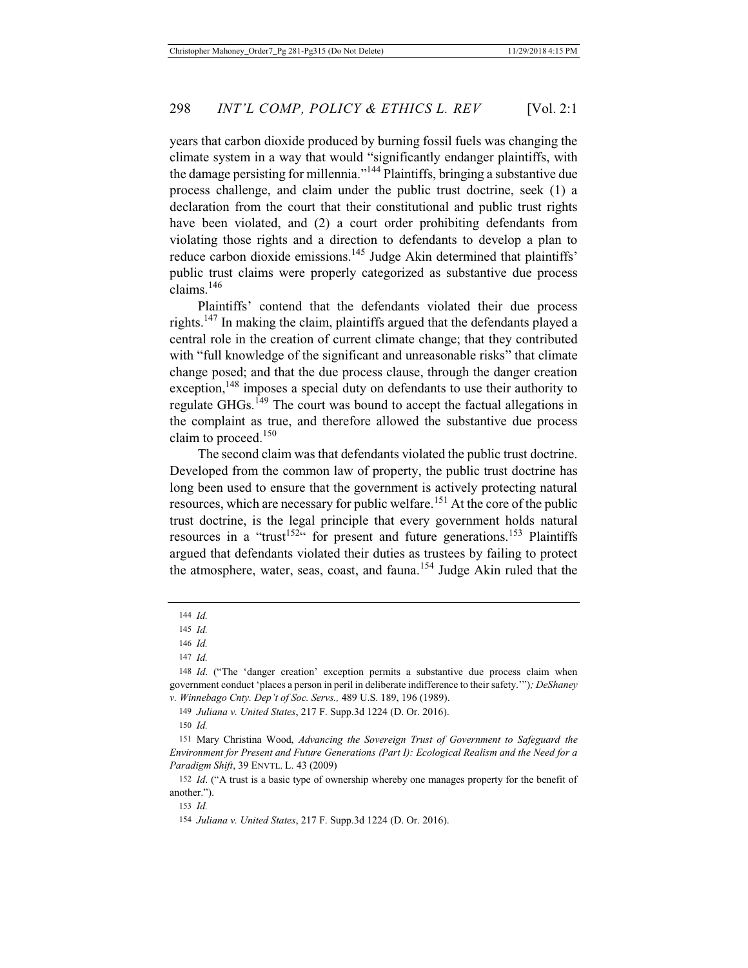years that carbon dioxide produced by burning fossil fuels was changing the climate system in a way that would "significantly endanger plaintiffs, with the damage persisting for millennia."144 Plaintiffs, bringing a substantive due process challenge, and claim under the public trust doctrine, seek (1) a declaration from the court that their constitutional and public trust rights have been violated, and (2) a court order prohibiting defendants from violating those rights and a direction to defendants to develop a plan to reduce carbon dioxide emissions.<sup>145</sup> Judge Akin determined that plaintiffs' public trust claims were properly categorized as substantive due process claims.<sup>146</sup>

Plaintiffs' contend that the defendants violated their due process rights.147 In making the claim, plaintiffs argued that the defendants played a central role in the creation of current climate change; that they contributed with "full knowledge of the significant and unreasonable risks" that climate change posed; and that the due process clause, through the danger creation exception,<sup>148</sup> imposes a special duty on defendants to use their authority to regulate GHGs.<sup>149</sup> The court was bound to accept the factual allegations in the complaint as true, and therefore allowed the substantive due process claim to proceed.<sup>150</sup>

The second claim was that defendants violated the public trust doctrine. Developed from the common law of property, the public trust doctrine has long been used to ensure that the government is actively protecting natural resources, which are necessary for public welfare.<sup>151</sup> At the core of the public trust doctrine, is the legal principle that every government holds natural resources in a "trust<sup>152"</sup> for present and future generations.<sup>153</sup> Plaintiffs argued that defendants violated their duties as trustees by failing to protect the atmosphere, water, seas, coast, and fauna.<sup>154</sup> Judge Akin ruled that the

149 *Juliana v. United States*, 217 F. Supp.3d 1224 (D. Or. 2016).

<sup>144</sup> *Id.*

<sup>145</sup> *Id.*

<sup>146</sup> *Id.*

<sup>147</sup> *Id.*

<sup>148</sup> *Id*. ("The 'danger creation' exception permits a substantive due process claim when government conduct 'places a person in peril in deliberate indifference to their safety.'")*; DeShaney v. Winnebago Cnty. Dep't of Soc. Servs.,* 489 U.S. 189, 196 (1989).

<sup>150</sup> *Id.*

<sup>151</sup> Mary Christina Wood, *Advancing the Sovereign Trust of Government to Safeguard the Environment for Present and Future Generations (Part I): Ecological Realism and the Need for a Paradigm Shift*, 39 ENVTL. L. 43 (2009)

<sup>152</sup> *Id*. ("A trust is a basic type of ownership whereby one manages property for the benefit of another.").

<sup>153</sup> *Id.*

<sup>154</sup> *Juliana v. United States*, 217 F. Supp.3d 1224 (D. Or. 2016).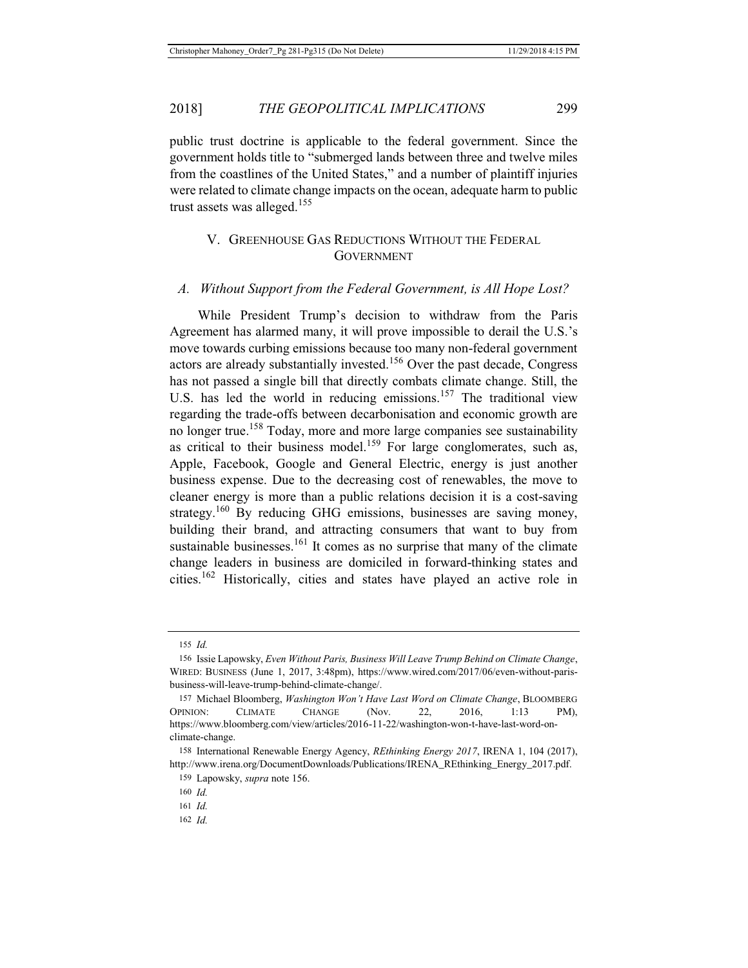public trust doctrine is applicable to the federal government. Since the government holds title to "submerged lands between three and twelve miles from the coastlines of the United States," and a number of plaintiff injuries were related to climate change impacts on the ocean, adequate harm to public trust assets was alleged.<sup>155</sup>

## V. GREENHOUSE GAS REDUCTIONS WITHOUT THE FEDERAL **GOVERNMENT**

#### *A. Without Support from the Federal Government, is All Hope Lost?*

While President Trump's decision to withdraw from the Paris Agreement has alarmed many, it will prove impossible to derail the U.S.'s move towards curbing emissions because too many non-federal government actors are already substantially invested.<sup>156</sup> Over the past decade, Congress has not passed a single bill that directly combats climate change. Still, the U.S. has led the world in reducing emissions.<sup>157</sup> The traditional view regarding the trade-offs between decarbonisation and economic growth are no longer true.<sup>158</sup> Today, more and more large companies see sustainability as critical to their business model.<sup>159</sup> For large conglomerates, such as, Apple, Facebook, Google and General Electric, energy is just another business expense. Due to the decreasing cost of renewables, the move to cleaner energy is more than a public relations decision it is a cost-saving strategy.<sup>160</sup> By reducing GHG emissions, businesses are saving money, building their brand, and attracting consumers that want to buy from sustainable businesses.<sup>161</sup> It comes as no surprise that many of the climate change leaders in business are domiciled in forward-thinking states and cities.162 Historically, cities and states have played an active role in

<sup>155</sup> *Id.*

<sup>156</sup> Issie Lapowsky, *Even Without Paris, Business Will Leave Trump Behind on Climate Change*, WIRED: BUSINESS (June 1, 2017, 3:48pm), https://www.wired.com/2017/06/even-without-parisbusiness-will-leave-trump-behind-climate-change/.

<sup>157</sup> Michael Bloomberg, *Washington Won't Have Last Word on Climate Change*, BLOOMBERG OPINION: CLIMATE CHANGE (Nov. 22, 2016, 1:13 PM), https://www.bloomberg.com/view/articles/2016-11-22/washington-won-t-have-last-word-onclimate-change.

<sup>158</sup> International Renewable Energy Agency, *REthinking Energy 2017*, IRENA 1, 104 (2017), http://www.irena.org/DocumentDownloads/Publications/IRENA\_REthinking\_Energy\_2017.pdf.

<sup>159</sup> Lapowsky, *supra* note 156.

<sup>160</sup> *Id.*

<sup>161</sup> *Id.*

<sup>162</sup> *Id.*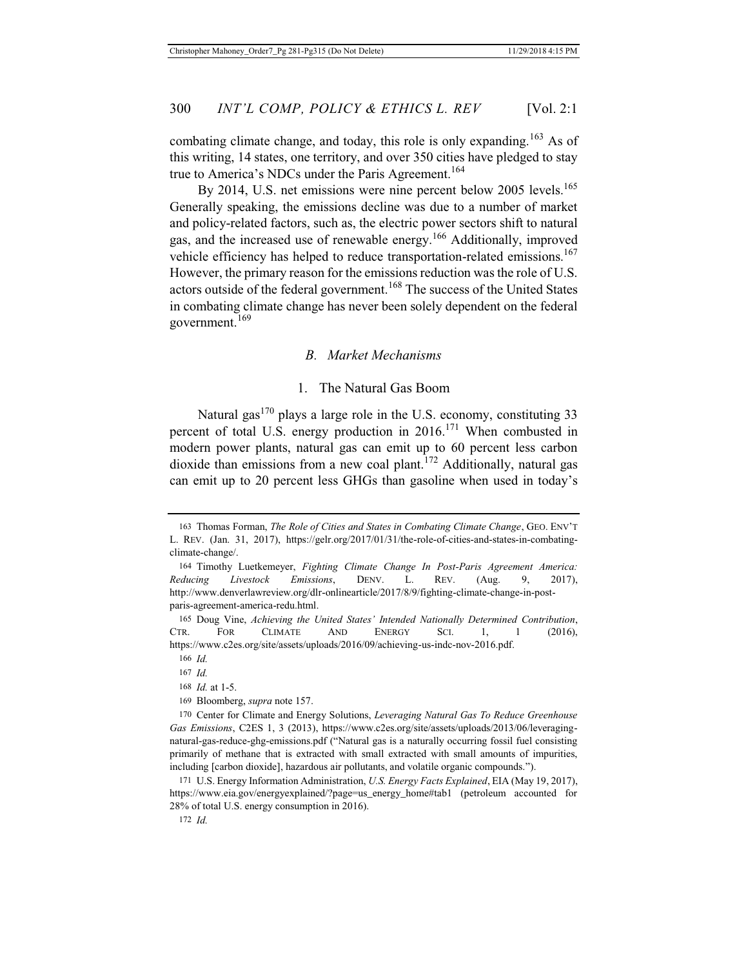combating climate change, and today, this role is only expanding.<sup>163</sup> As of this writing, 14 states, one territory, and over 350 cities have pledged to stay true to America's NDCs under the Paris Agreement.<sup>164</sup>

By 2014, U.S. net emissions were nine percent below 2005 levels.<sup>165</sup> Generally speaking, the emissions decline was due to a number of market and policy-related factors, such as, the electric power sectors shift to natural gas, and the increased use of renewable energy.166 Additionally, improved vehicle efficiency has helped to reduce transportation-related emissions.<sup>167</sup> However, the primary reason for the emissions reduction was the role of U.S. actors outside of the federal government.<sup>168</sup> The success of the United States in combating climate change has never been solely dependent on the federal government. $169$ 

## *B. Market Mechanisms*

## 1. The Natural Gas Boom

Natural gas $^{170}$  plays a large role in the U.S. economy, constituting 33 percent of total U.S. energy production in  $2016$ <sup>171</sup> When combusted in modern power plants, natural gas can emit up to 60 percent less carbon dioxide than emissions from a new coal plant.<sup>172</sup> Additionally, natural gas can emit up to 20 percent less GHGs than gasoline when used in today's

171 U.S. Energy Information Administration, *U.S. Energy Facts Explained*, EIA (May 19, 2017), https://www.eia.gov/energyexplained/?page=us\_energy\_home#tab1 (petroleum accounted for 28% of total U.S. energy consumption in 2016).

172 *Id.*

<sup>163</sup> Thomas Forman, *The Role of Cities and States in Combating Climate Change*, GEO. ENV'T L. REV. (Jan. 31, 2017), https://gelr.org/2017/01/31/the-role-of-cities-and-states-in-combatingclimate-change/.

<sup>164</sup> Timothy Luetkemeyer, *Fighting Climate Change In Post-Paris Agreement America: Reducing Livestock Emissions*, DENV. L. REV. (Aug. 9, 2017), http://www.denverlawreview.org/dlr-onlinearticle/2017/8/9/fighting-climate-change-in-postparis-agreement-america-redu.html.

<sup>165</sup> Doug Vine, *Achieving the United States' Intended Nationally Determined Contribution*, CTR. FOR CLIMATE AND ENERGY SCI. 1, 1 (2016), https://www.c2es.org/site/assets/uploads/2016/09/achieving-us-indc-nov-2016.pdf.

<sup>166</sup> *Id.*

<sup>167</sup> *Id.*

<sup>168</sup> *Id.* at 1-5.

<sup>169</sup> Bloomberg, *supra* note 157.

<sup>170</sup> Center for Climate and Energy Solutions, *Leveraging Natural Gas To Reduce Greenhouse Gas Emissions*, C2ES 1, 3 (2013), https://www.c2es.org/site/assets/uploads/2013/06/leveragingnatural-gas-reduce-ghg-emissions.pdf ("Natural gas is a naturally occurring fossil fuel consisting primarily of methane that is extracted with small extracted with small amounts of impurities, including [carbon dioxide], hazardous air pollutants, and volatile organic compounds.").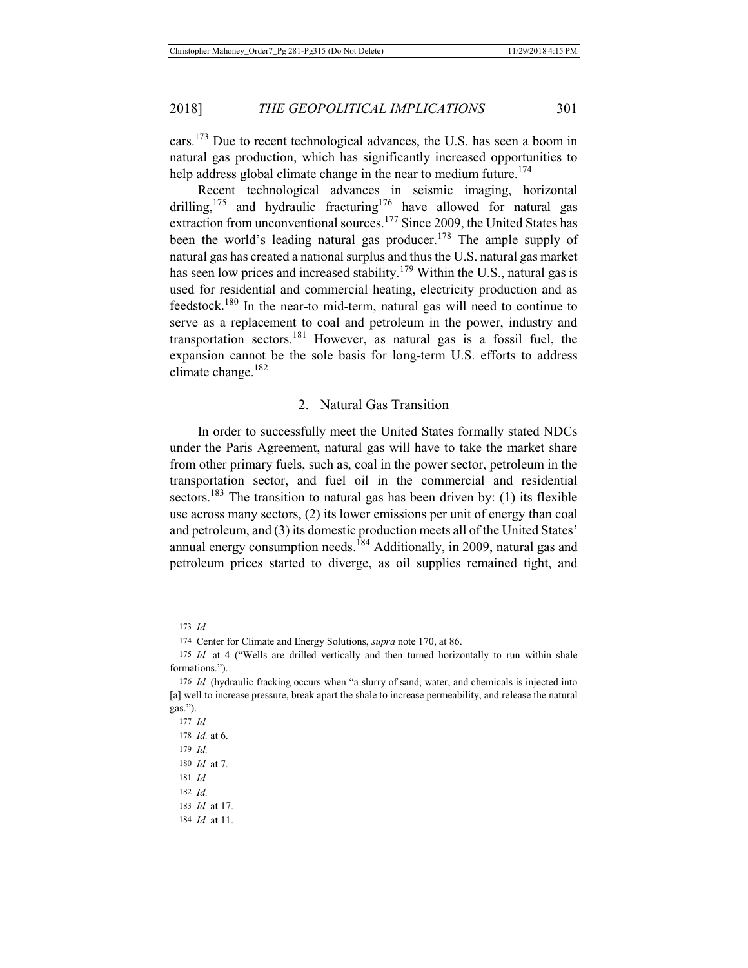cars.173 Due to recent technological advances, the U.S. has seen a boom in natural gas production, which has significantly increased opportunities to help address global climate change in the near to medium future.<sup>174</sup>

Recent technological advances in seismic imaging, horizontal drilling,<sup>175</sup> and hydraulic fracturing<sup>176</sup> have allowed for natural gas extraction from unconventional sources.<sup>177</sup> Since 2009, the United States has been the world's leading natural gas producer.<sup>178</sup> The ample supply of natural gas has created a national surplus and thus the U.S. natural gas market has seen low prices and increased stability.<sup>179</sup> Within the U.S., natural gas is used for residential and commercial heating, electricity production and as feedstock.180 In the near-to mid-term, natural gas will need to continue to serve as a replacement to coal and petroleum in the power, industry and transportation sectors.181 However, as natural gas is a fossil fuel, the expansion cannot be the sole basis for long-term U.S. efforts to address climate change. $182$ 

## 2. Natural Gas Transition

In order to successfully meet the United States formally stated NDCs under the Paris Agreement, natural gas will have to take the market share from other primary fuels, such as, coal in the power sector, petroleum in the transportation sector, and fuel oil in the commercial and residential sectors.<sup>183</sup> The transition to natural gas has been driven by: (1) its flexible use across many sectors, (2) its lower emissions per unit of energy than coal and petroleum, and (3) its domestic production meets all of the United States' annual energy consumption needs.<sup>184</sup> Additionally, in 2009, natural gas and petroleum prices started to diverge, as oil supplies remained tight, and

181 *Id.*

184 *Id.* at 11.

<sup>173</sup> *Id.*

<sup>174</sup> Center for Climate and Energy Solutions, *supra* note 170, at 86.

<sup>175</sup> *Id.* at 4 ("Wells are drilled vertically and then turned horizontally to run within shale formations.").

<sup>176</sup> *Id.* (hydraulic fracking occurs when "a slurry of sand, water, and chemicals is injected into [a] well to increase pressure, break apart the shale to increase permeability, and release the natural gas.").

<sup>177</sup> *Id.*

<sup>178</sup> *Id.* at 6.

<sup>179</sup> *Id.*

<sup>180</sup> *Id.* at 7.

<sup>182</sup> *Id.* 183 *Id.* at 17.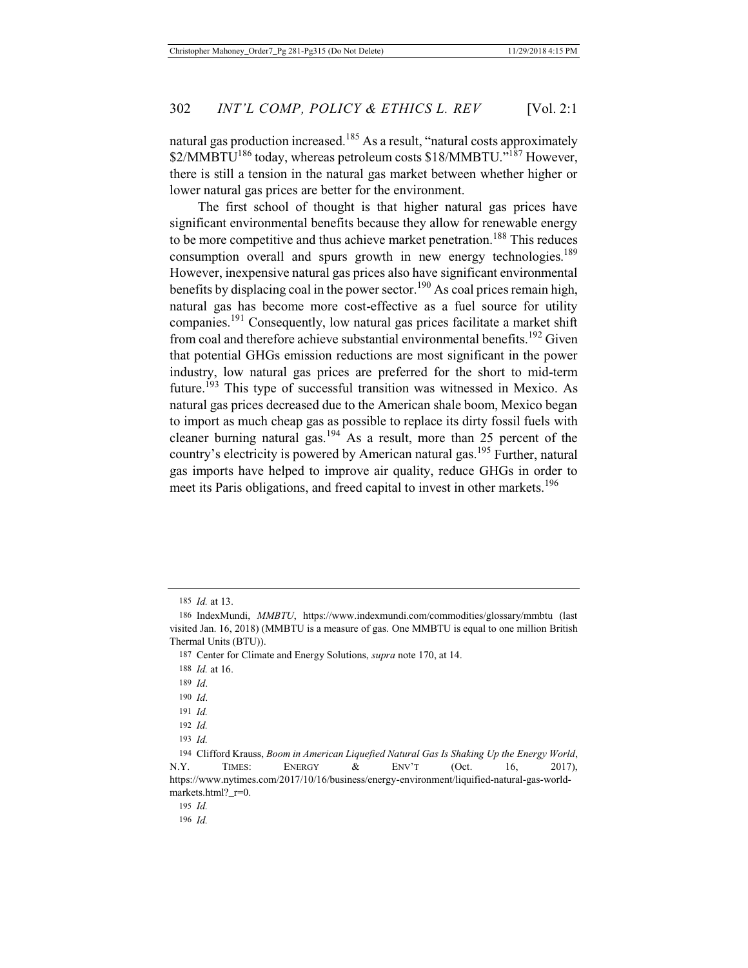natural gas production increased.<sup>185</sup> As a result, "natural costs approximately \$2/MMBTU<sup>186</sup> today, whereas petroleum costs \$18/MMBTU."<sup>187</sup> However, there is still a tension in the natural gas market between whether higher or lower natural gas prices are better for the environment.

The first school of thought is that higher natural gas prices have significant environmental benefits because they allow for renewable energy to be more competitive and thus achieve market penetration.<sup>188</sup> This reduces consumption overall and spurs growth in new energy technologies.<sup>189</sup> However, inexpensive natural gas prices also have significant environmental benefits by displacing coal in the power sector.<sup>190</sup> As coal prices remain high, natural gas has become more cost-effective as a fuel source for utility companies.191 Consequently, low natural gas prices facilitate a market shift from coal and therefore achieve substantial environmental benefits.<sup>192</sup> Given that potential GHGs emission reductions are most significant in the power industry, low natural gas prices are preferred for the short to mid-term future.<sup>193</sup> This type of successful transition was witnessed in Mexico. As natural gas prices decreased due to the American shale boom, Mexico began to import as much cheap gas as possible to replace its dirty fossil fuels with cleaner burning natural gas.194 As a result, more than 25 percent of the country's electricity is powered by American natural gas.195 Further, natural gas imports have helped to improve air quality, reduce GHGs in order to meet its Paris obligations, and freed capital to invest in other markets.<sup>196</sup>

<sup>185</sup> *Id.* at 13.

<sup>186</sup> IndexMundi, *MMBTU*, https://www.indexmundi.com/commodities/glossary/mmbtu (last visited Jan. 16, 2018) (MMBTU is a measure of gas. One MMBTU is equal to one million British Thermal Units (BTU)).

<sup>187</sup> Center for Climate and Energy Solutions, *supra* note 170, at 14.

<sup>188</sup> *Id.* at 16.

<sup>189</sup> *Id*.

<sup>190</sup> *Id*.

<sup>191</sup> *Id.*

<sup>192</sup> *Id.*

<sup>193</sup> *Id.*

<sup>194</sup> Clifford Krauss, *Boom in American Liquefied Natural Gas Is Shaking Up the Energy World*, N.Y. TIMES: ENERGY & ENV'T (Oct. 16, 2017), https://www.nytimes.com/2017/10/16/business/energy-environment/liquified-natural-gas-worldmarkets.html?\_r=0.

<sup>195</sup> *Id.*

<sup>196</sup> *Id.*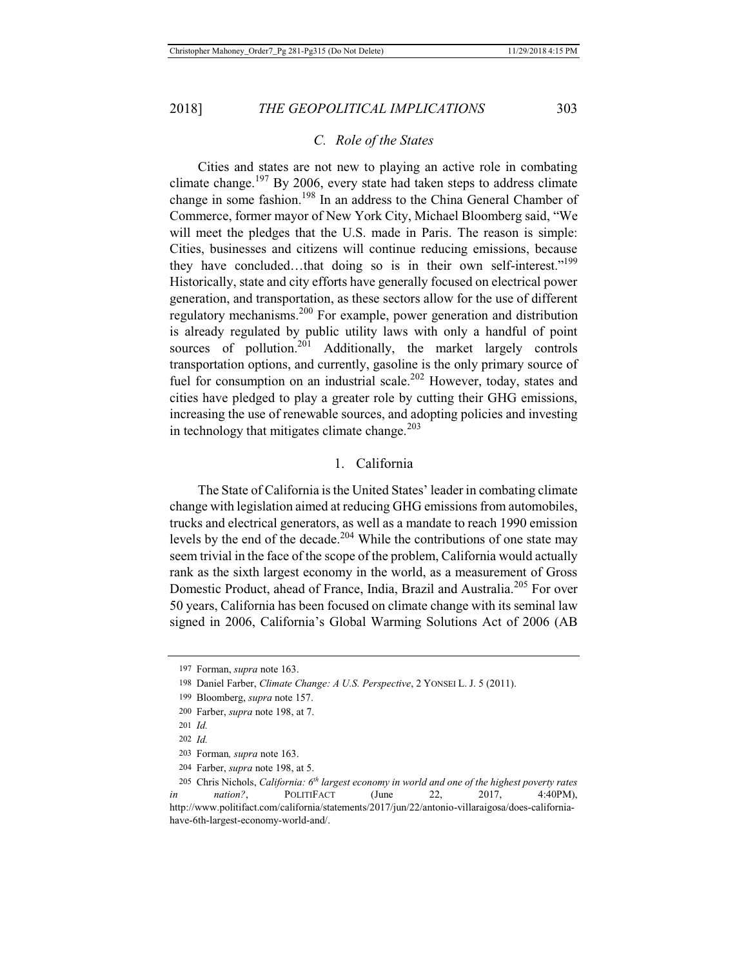## *C. Role of the States*

Cities and states are not new to playing an active role in combating climate change.<sup>197</sup> By 2006, every state had taken steps to address climate change in some fashion.<sup>198</sup> In an address to the China General Chamber of Commerce, former mayor of New York City, Michael Bloomberg said, "We will meet the pledges that the U.S. made in Paris. The reason is simple: Cities, businesses and citizens will continue reducing emissions, because they have concluded...that doing so is in their own self-interest."<sup>199</sup> Historically, state and city efforts have generally focused on electrical power generation, and transportation, as these sectors allow for the use of different regulatory mechanisms.200 For example, power generation and distribution is already regulated by public utility laws with only a handful of point sources of pollution.<sup>201</sup> Additionally, the market largely controls transportation options, and currently, gasoline is the only primary source of fuel for consumption on an industrial scale.<sup>202</sup> However, today, states and cities have pledged to play a greater role by cutting their GHG emissions, increasing the use of renewable sources, and adopting policies and investing in technology that mitigates climate change. $203$ 

## 1. California

The State of California is the United States' leader in combating climate change with legislation aimed at reducing GHG emissions from automobiles, trucks and electrical generators, as well as a mandate to reach 1990 emission levels by the end of the decade.<sup>204</sup> While the contributions of one state may seem trivial in the face of the scope of the problem, California would actually rank as the sixth largest economy in the world, as a measurement of Gross Domestic Product, ahead of France, India, Brazil and Australia.<sup>205</sup> For over 50 years, California has been focused on climate change with its seminal law signed in 2006, California's Global Warming Solutions Act of 2006 (AB

<sup>197</sup> Forman, *supra* note 163.

<sup>198</sup> Daniel Farber, *Climate Change: A U.S. Perspective*, 2 YONSEI L. J. 5 (2011).

<sup>199</sup> Bloomberg, *supra* note 157.

<sup>200</sup> Farber, *supra* note 198, at 7.

<sup>201</sup> *Id.*

<sup>202</sup> *Id.*

<sup>203</sup> Forman*, supra* note 163.

<sup>204</sup> Farber, *supra* note 198, at 5.

<sup>205</sup> Chris Nichols, *California: 6th largest economy in world and one of the highest poverty rates in nation?*, **POLITIFACT** (June 22, 2017, 4:40PM), http://www.politifact.com/california/statements/2017/jun/22/antonio-villaraigosa/does-californiahave-6th-largest-economy-world-and/.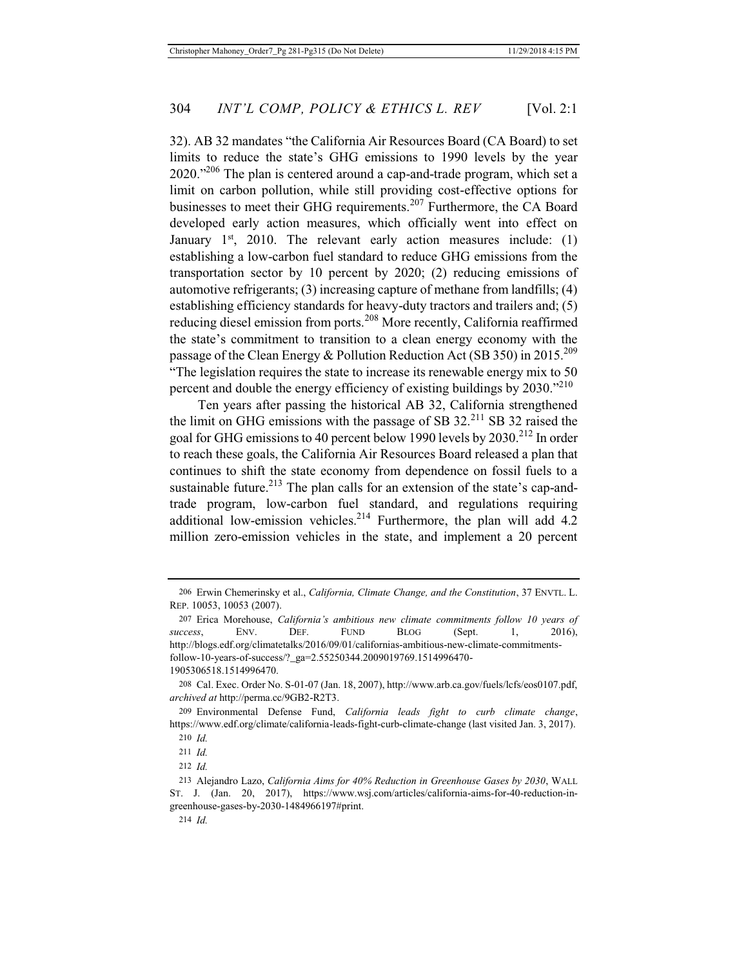32). AB 32 mandates "the California Air Resources Board (CA Board) to set limits to reduce the state's GHG emissions to 1990 levels by the year  $2020.^{206}$  The plan is centered around a cap-and-trade program, which set a limit on carbon pollution, while still providing cost-effective options for businesses to meet their GHG requirements.<sup>207</sup> Furthermore, the CA Board developed early action measures, which officially went into effect on January  $1^{st}$ , 2010. The relevant early action measures include: (1) establishing a low-carbon fuel standard to reduce GHG emissions from the transportation sector by 10 percent by 2020; (2) reducing emissions of automotive refrigerants; (3) increasing capture of methane from landfills; (4) establishing efficiency standards for heavy-duty tractors and trailers and; (5) reducing diesel emission from ports.<sup>208</sup> More recently, California reaffirmed the state's commitment to transition to a clean energy economy with the passage of the Clean Energy & Pollution Reduction Act (SB 350) in 2015.<sup>209</sup> "The legislation requires the state to increase its renewable energy mix to 50 percent and double the energy efficiency of existing buildings by 2030."<sup>210</sup>

Ten years after passing the historical AB 32, California strengthened the limit on GHG emissions with the passage of SB  $32<sup>211</sup>$  SB 32 raised the goal for GHG emissions to 40 percent below 1990 levels by 2030.<sup>212</sup> In order to reach these goals, the California Air Resources Board released a plan that continues to shift the state economy from dependence on fossil fuels to a sustainable future.<sup>213</sup> The plan calls for an extension of the state's cap-andtrade program, low-carbon fuel standard, and regulations requiring additional low-emission vehicles.<sup>214</sup> Furthermore, the plan will add  $4.2$ million zero-emission vehicles in the state, and implement a 20 percent

<sup>206</sup> Erwin Chemerinsky et al., *California, Climate Change, and the Constitution*, 37 ENVTL. L. REP. 10053, 10053 (2007).

<sup>207</sup> Erica Morehouse, *California's ambitious new climate commitments follow 10 years of success*, ENV. DEF. FUND BLOG (Sept. 1, 2016), http://blogs.edf.org/climatetalks/2016/09/01/californias-ambitious-new-climate-commitmentsfollow-10-years-of-success/?\_ga=2.55250344.2009019769.1514996470- 1905306518.1514996470.

<sup>208</sup> Cal. Exec. Order No. S-01-07 (Jan. 18, 2007), http://www.arb.ca.gov/fuels/lcfs/eos0107.pdf, *archived at* http://perma.cc/9GB2-R2T3.

<sup>209</sup> Environmental Defense Fund, *California leads fight to curb climate change*, https://www.edf.org/climate/california-leads-fight-curb-climate-change (last visited Jan. 3, 2017).

<sup>210</sup> *Id.*

<sup>211</sup> *Id.*

<sup>212</sup> *Id.*

<sup>213</sup> Alejandro Lazo, *California Aims for 40% Reduction in Greenhouse Gases by 2030*, WALL ST. J. (Jan. 20, 2017), https://www.wsj.com/articles/california-aims-for-40-reduction-ingreenhouse-gases-by-2030-1484966197#print.

<sup>214</sup> *Id.*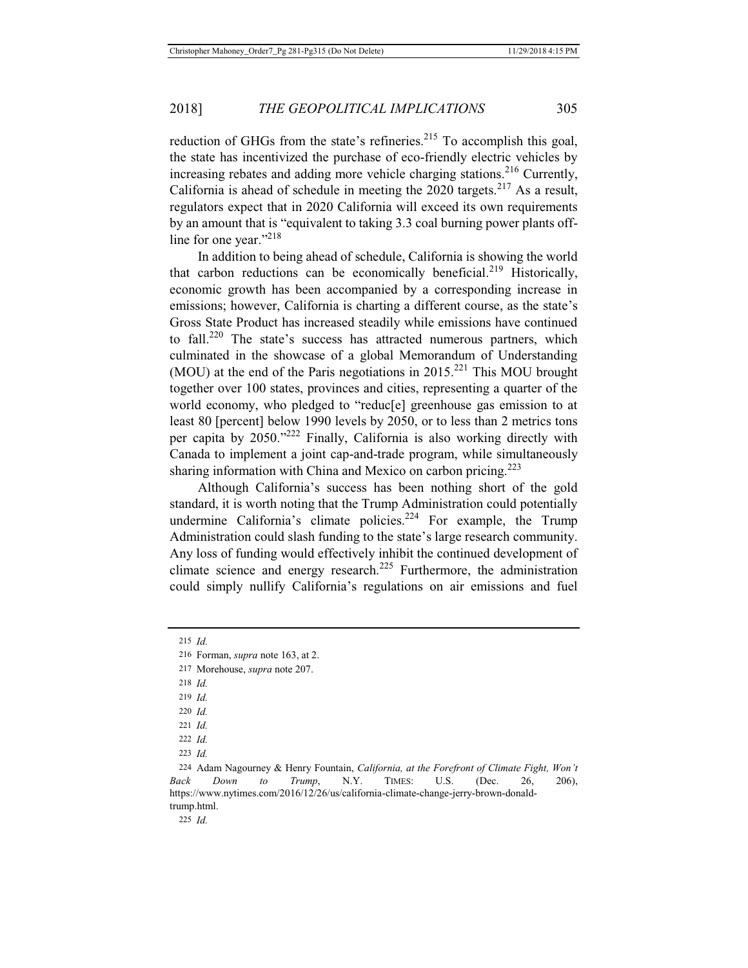reduction of GHGs from the state's refineries.<sup>215</sup> To accomplish this goal, the state has incentivized the purchase of eco-friendly electric vehicles by increasing rebates and adding more vehicle charging stations.<sup>216</sup> Currently, California is ahead of schedule in meeting the  $2020$  targets.<sup>217</sup> As a result, regulators expect that in 2020 California will exceed its own requirements by an amount that is "equivalent to taking 3.3 coal burning power plants offline for one year."<sup>218</sup>

In addition to being ahead of schedule, California is showing the world that carbon reductions can be economically beneficial.<sup>219</sup> Historically, economic growth has been accompanied by a corresponding increase in emissions; however, California is charting a different course, as the state's Gross State Product has increased steadily while emissions have continued to fall.<sup>220</sup> The state's success has attracted numerous partners, which culminated in the showcase of a global Memorandum of Understanding (MOU) at the end of the Paris negotiations in  $2015$ <sup>221</sup> This MOU brought together over 100 states, provinces and cities, representing a quarter of the world economy, who pledged to "reduc[e] greenhouse gas emission to at least 80 [percent] below 1990 levels by 2050, or to less than 2 metrics tons per capita by 2050."222 Finally, California is also working directly with Canada to implement a joint cap-and-trade program, while simultaneously sharing information with China and Mexico on carbon pricing.<sup>223</sup>

Although California's success has been nothing short of the gold standard, it is worth noting that the Trump Administration could potentially undermine California's climate policies.<sup>224</sup> For example, the Trump Administration could slash funding to the state's large research community. Any loss of funding would effectively inhibit the continued development of climate science and energy research.<sup>225</sup> Furthermore, the administration could simply nullify California's regulations on air emissions and fuel

215 *Id.*

- 217 Morehouse, *supra* note 207.
- 218 *Id.*
- 219 *Id.*
- 220 *Id.*
- 221 *Id.*
- 222 *Id.*

223 *Id.*

225 *Id.*

<sup>216</sup> Forman, *supra* note 163, at 2.

<sup>224</sup> Adam Nagourney & Henry Fountain, *California, at the Forefront of Climate Fight, Won't Back Down to Trump*, N.Y. TIMES: U.S. (Dec. 26, 206), https://www.nytimes.com/2016/12/26/us/california-climate-change-jerry-brown-donaldtrump.html.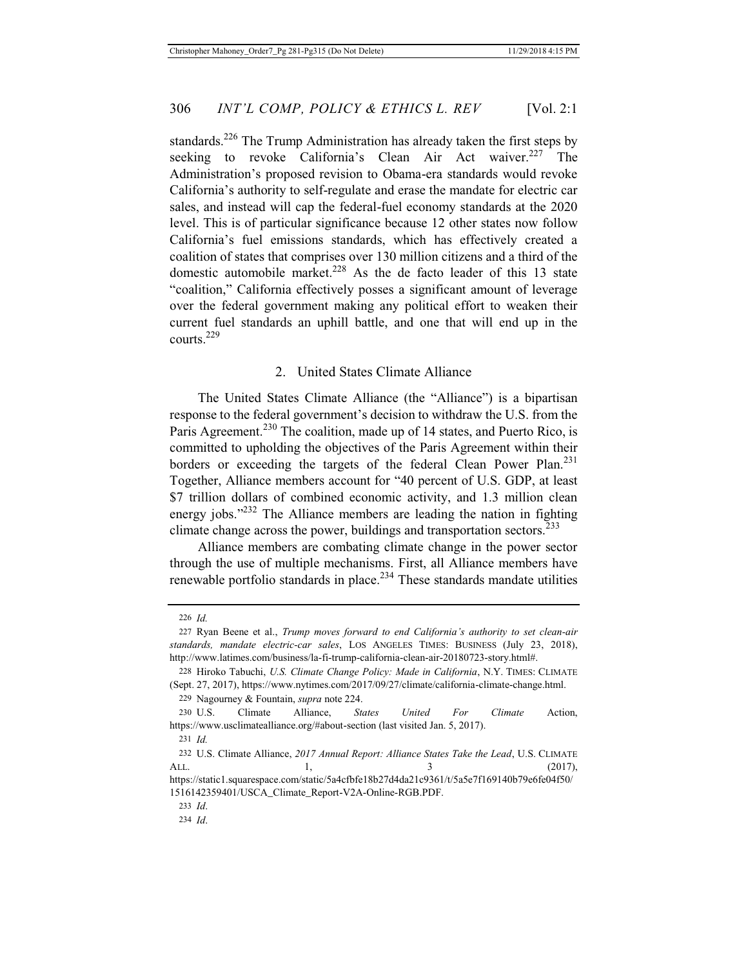standards.<sup>226</sup> The Trump Administration has already taken the first steps by seeking to revoke California's Clean Air Act waiver.<sup>227</sup> The Administration's proposed revision to Obama-era standards would revoke California's authority to self-regulate and erase the mandate for electric car sales, and instead will cap the federal-fuel economy standards at the 2020 level. This is of particular significance because 12 other states now follow California's fuel emissions standards, which has effectively created a coalition of states that comprises over 130 million citizens and a third of the domestic automobile market.<sup>228</sup> As the de facto leader of this 13 state "coalition," California effectively posses a significant amount of leverage over the federal government making any political effort to weaken their current fuel standards an uphill battle, and one that will end up in the courts.229

## 2. United States Climate Alliance

The United States Climate Alliance (the "Alliance") is a bipartisan response to the federal government's decision to withdraw the U.S. from the Paris Agreement.<sup>230</sup> The coalition, made up of 14 states, and Puerto Rico, is committed to upholding the objectives of the Paris Agreement within their borders or exceeding the targets of the federal Clean Power Plan.<sup>231</sup> Together, Alliance members account for "40 percent of U.S. GDP, at least \$7 trillion dollars of combined economic activity, and 1.3 million clean energy jobs."<sup>232</sup> The Alliance members are leading the nation in fighting climate change across the power, buildings and transportation sectors.<sup>233</sup>

Alliance members are combating climate change in the power sector through the use of multiple mechanisms. First, all Alliance members have renewable portfolio standards in place.<sup>234</sup> These standards mandate utilities

229 Nagourney & Fountain, *supra* note 224.

<sup>226</sup> *Id.*

<sup>227</sup> Ryan Beene et al., *Trump moves forward to end California's authority to set clean-air standards, mandate electric-car sales*, LOS ANGELES TIMES: BUSINESS (July 23, 2018), http://www.latimes.com/business/la-fi-trump-california-clean-air-20180723-story.html#.

<sup>228</sup> Hiroko Tabuchi, *U.S. Climate Change Policy: Made in California*, N.Y. TIMES: CLIMATE (Sept. 27, 2017), https://www.nytimes.com/2017/09/27/climate/california-climate-change.html.

<sup>230</sup> U.S. Climate Alliance, *States United For Climate* Action, https://www.usclimatealliance.org/#about-section (last visited Jan. 5, 2017).

<sup>231</sup> *Id.*

<sup>232</sup> U.S. Climate Alliance, *2017 Annual Report: Alliance States Take the Lead*, U.S. CLIMATE ALL.  $1, \t 3 \t (2017),$ https://static1.squarespace.com/static/5a4cfbfe18b27d4da21c9361/t/5a5e7f169140b79e6fe04f50/

<sup>1516142359401/</sup>USCA\_Climate\_Report-V2A-Online-RGB.PDF.

<sup>233</sup> *Id*.

<sup>234</sup> *Id*.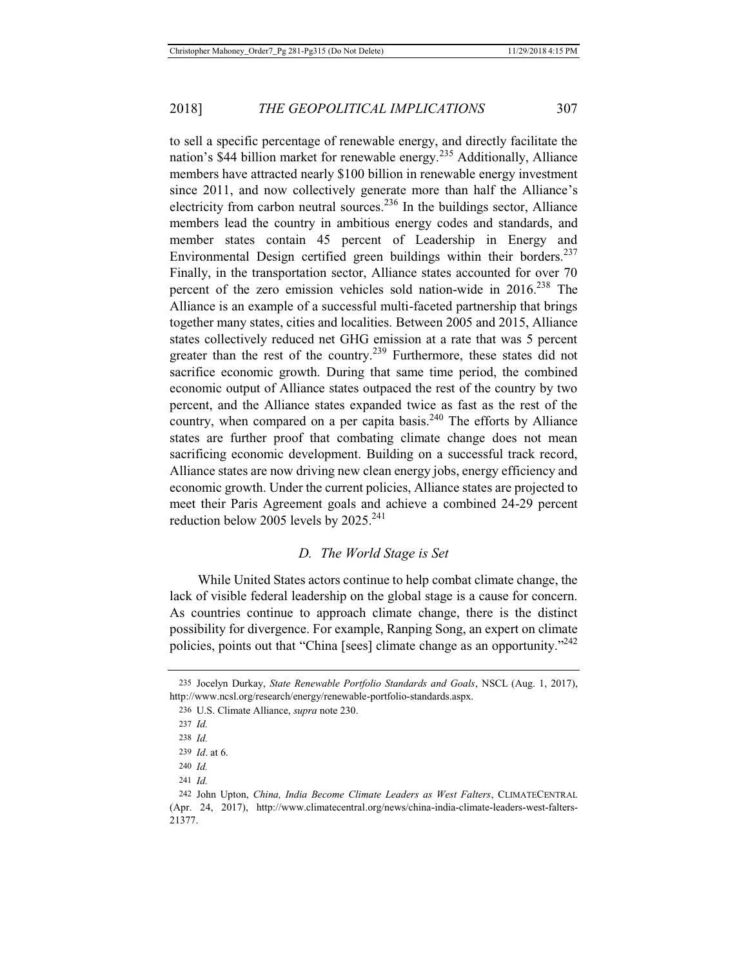to sell a specific percentage of renewable energy, and directly facilitate the nation's \$44 billion market for renewable energy.235 Additionally, Alliance members have attracted nearly \$100 billion in renewable energy investment since 2011, and now collectively generate more than half the Alliance's electricity from carbon neutral sources.<sup>236</sup> In the buildings sector, Alliance members lead the country in ambitious energy codes and standards, and member states contain 45 percent of Leadership in Energy and Environmental Design certified green buildings within their borders. $237$ Finally, in the transportation sector, Alliance states accounted for over 70 percent of the zero emission vehicles sold nation-wide in 2016.<sup>238</sup> The Alliance is an example of a successful multi-faceted partnership that brings together many states, cities and localities. Between 2005 and 2015, Alliance states collectively reduced net GHG emission at a rate that was 5 percent greater than the rest of the country.<sup>239</sup> Furthermore, these states did not sacrifice economic growth. During that same time period, the combined economic output of Alliance states outpaced the rest of the country by two percent, and the Alliance states expanded twice as fast as the rest of the country, when compared on a per capita basis.<sup>240</sup> The efforts by Alliance states are further proof that combating climate change does not mean sacrificing economic development. Building on a successful track record, Alliance states are now driving new clean energy jobs, energy efficiency and economic growth. Under the current policies, Alliance states are projected to meet their Paris Agreement goals and achieve a combined 24-29 percent reduction below 2005 levels by  $2025.^{241}$ 

#### *D. The World Stage is Set*

While United States actors continue to help combat climate change, the lack of visible federal leadership on the global stage is a cause for concern. As countries continue to approach climate change, there is the distinct possibility for divergence. For example, Ranping Song, an expert on climate policies, points out that "China [sees] climate change as an opportunity."<sup>242</sup>

<sup>235</sup> Jocelyn Durkay, *State Renewable Portfolio Standards and Goals*, NSCL (Aug. 1, 2017), http://www.ncsl.org/research/energy/renewable-portfolio-standards.aspx.

<sup>236</sup> U.S. Climate Alliance, *supra* note 230.

<sup>237</sup> *Id.*

<sup>238</sup> *Id.*

<sup>239</sup> *Id*. at 6.

<sup>240</sup> *Id.*

<sup>241</sup> *Id.*

<sup>242</sup> John Upton, *China, India Become Climate Leaders as West Falters*, CLIMATECENTRAL (Apr. 24, 2017), http://www.climatecentral.org/news/china-india-climate-leaders-west-falters-21377.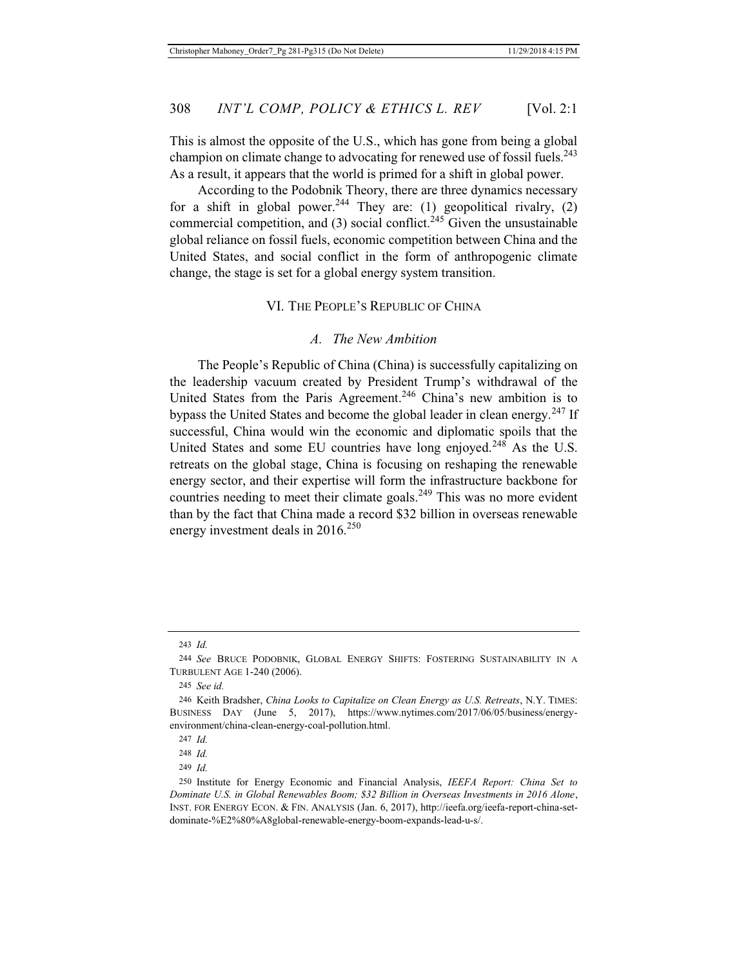This is almost the opposite of the U.S., which has gone from being a global champion on climate change to advocating for renewed use of fossil fuels.<sup>243</sup> As a result, it appears that the world is primed for a shift in global power.

According to the Podobnik Theory, there are three dynamics necessary for a shift in global power.<sup>244</sup> They are: (1) geopolitical rivalry, (2) commercial competition, and  $(3)$  social conflict.<sup>245</sup> Given the unsustainable global reliance on fossil fuels, economic competition between China and the United States, and social conflict in the form of anthropogenic climate change, the stage is set for a global energy system transition.

#### VI. THE PEOPLE'S REPUBLIC OF CHINA

#### *A. The New Ambition*

The People's Republic of China (China) is successfully capitalizing on the leadership vacuum created by President Trump's withdrawal of the United States from the Paris Agreement.<sup>246</sup> China's new ambition is to bypass the United States and become the global leader in clean energy.<sup>247</sup> If successful, China would win the economic and diplomatic spoils that the United States and some EU countries have long enjoyed.<sup>248</sup> As the U.S. retreats on the global stage, China is focusing on reshaping the renewable energy sector, and their expertise will form the infrastructure backbone for countries needing to meet their climate goals.<sup>249</sup> This was no more evident than by the fact that China made a record \$32 billion in overseas renewable energy investment deals in  $2016^{250}$ 

247 *Id.*

248 *Id.*

249 *Id.*

<sup>243</sup> *Id.*

<sup>244</sup> *See* BRUCE PODOBNIK, GLOBAL ENERGY SHIFTS: FOSTERING SUSTAINABILITY IN A TURBULENT AGE 1-240 (2006).

<sup>245</sup> *See id.*

<sup>246</sup> Keith Bradsher, *China Looks to Capitalize on Clean Energy as U.S. Retreats*, N.Y. TIMES: BUSINESS DAY (June 5, 2017), https://www.nytimes.com/2017/06/05/business/energyenvironment/china-clean-energy-coal-pollution.html.

<sup>250</sup> Institute for Energy Economic and Financial Analysis, *IEEFA Report: China Set to Dominate U.S. in Global Renewables Boom; \$32 Billion in Overseas Investments in 2016 Alone*, INST. FOR ENERGY ECON. & FIN. ANALYSIS (Jan. 6, 2017), http://ieefa.org/ieefa-report-china-setdominate-%E2%80%A8global-renewable-energy-boom-expands-lead-u-s/.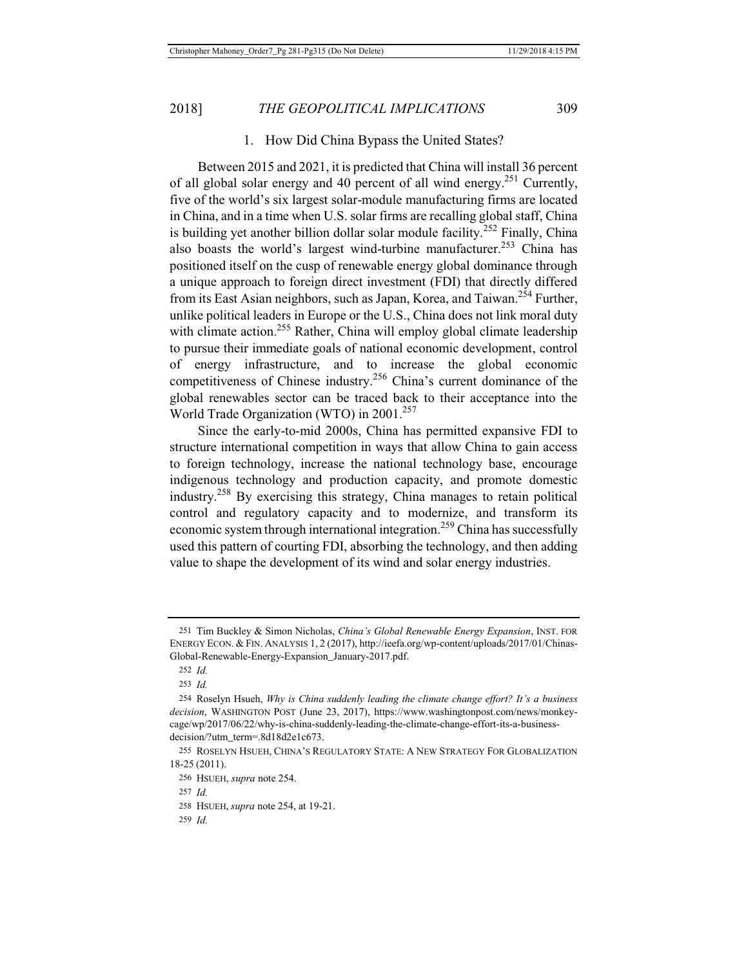## 1. How Did China Bypass the United States?

Between 2015 and 2021, it is predicted that China will install 36 percent of all global solar energy and 40 percent of all wind energy.<sup>251</sup> Currently, five of the world's six largest solar-module manufacturing firms are located in China, and in a time when U.S. solar firms are recalling global staff, China is building yet another billion dollar solar module facility.<sup>252</sup> Finally, China also boasts the world's largest wind-turbine manufacturer.<sup>253</sup> China has positioned itself on the cusp of renewable energy global dominance through a unique approach to foreign direct investment (FDI) that directly differed from its East Asian neighbors, such as Japan, Korea, and Taiwan.<sup>254</sup> Further, unlike political leaders in Europe or the U.S., China does not link moral duty with climate action.<sup>255</sup> Rather, China will employ global climate leadership to pursue their immediate goals of national economic development, control of energy infrastructure, and to increase the global economic competitiveness of Chinese industry.<sup>256</sup> China's current dominance of the global renewables sector can be traced back to their acceptance into the World Trade Organization (WTO) in 2001.<sup>257</sup>

Since the early-to-mid 2000s, China has permitted expansive FDI to structure international competition in ways that allow China to gain access to foreign technology, increase the national technology base, encourage indigenous technology and production capacity, and promote domestic industry.<sup>258</sup> By exercising this strategy, China manages to retain political control and regulatory capacity and to modernize, and transform its economic system through international integration.<sup>259</sup> China has successfully used this pattern of courting FDI, absorbing the technology, and then adding value to shape the development of its wind and solar energy industries.

<sup>251</sup> Tim Buckley & Simon Nicholas, *China's Global Renewable Energy Expansion*, INST. FOR ENERGY ECON. & FIN. ANALYSIS 1, 2 (2017), http://ieefa.org/wp-content/uploads/2017/01/Chinas-Global-Renewable-Energy-Expansion\_January-2017.pdf.

<sup>252</sup> *Id.*

<sup>253</sup> *Id.*

<sup>254</sup> Roselyn Hsueh, *Why is China suddenly leading the climate change effort? It's a business decision*, WASHINGTON POST (June 23, 2017), https://www.washingtonpost.com/news/monkeycage/wp/2017/06/22/why-is-china-suddenly-leading-the-climate-change-effort-its-a-businessdecision/?utm\_term=.8d18d2e1c673.

<sup>255</sup> ROSELYN HSUEH, CHINA'S REGULATORY STATE: A NEW STRATEGY FOR GLOBALIZATION 18-25 (2011).

<sup>256</sup> HSUEH, *supra* note 254.

<sup>257</sup> *Id.*

<sup>258</sup> HSUEH, *supra* note 254, at 19-21.

<sup>259</sup> *Id.*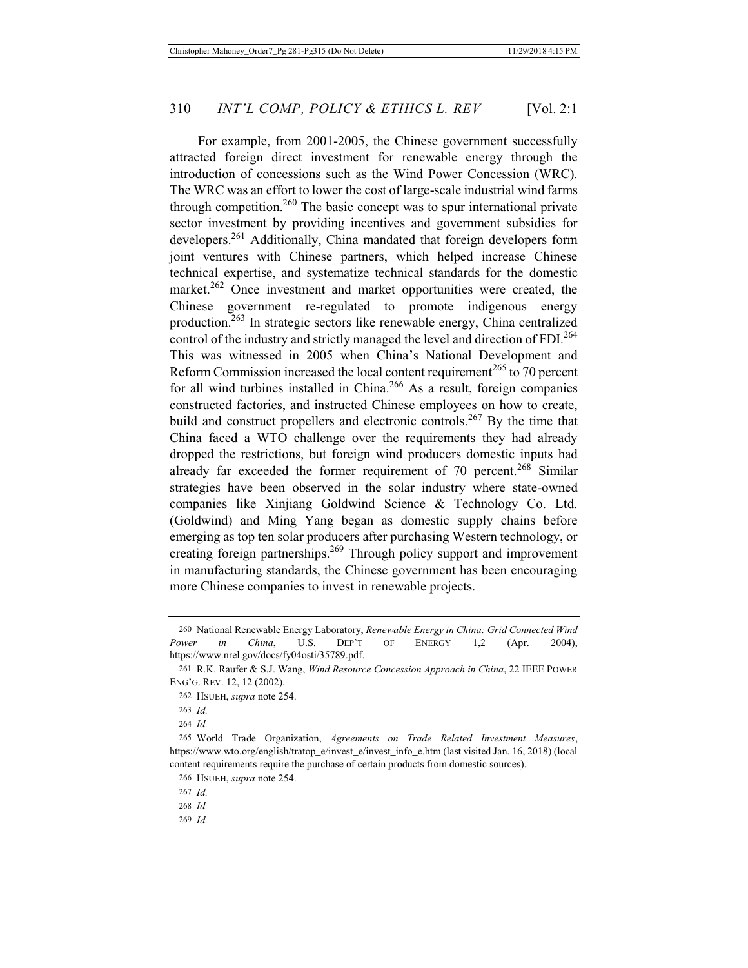For example, from 2001-2005, the Chinese government successfully attracted foreign direct investment for renewable energy through the introduction of concessions such as the Wind Power Concession (WRC). The WRC was an effort to lower the cost of large-scale industrial wind farms through competition.<sup>260</sup> The basic concept was to spur international private sector investment by providing incentives and government subsidies for developers.<sup>261</sup> Additionally, China mandated that foreign developers form joint ventures with Chinese partners, which helped increase Chinese technical expertise, and systematize technical standards for the domestic market.<sup>262</sup> Once investment and market opportunities were created, the Chinese government re-regulated to promote indigenous energy production.263 In strategic sectors like renewable energy, China centralized control of the industry and strictly managed the level and direction of FDI.<sup>264</sup> This was witnessed in 2005 when China's National Development and Reform Commission increased the local content requirement<sup>265</sup> to 70 percent for all wind turbines installed in China.<sup>266</sup> As a result, foreign companies constructed factories, and instructed Chinese employees on how to create, build and construct propellers and electronic controls.<sup>267</sup> By the time that China faced a WTO challenge over the requirements they had already dropped the restrictions, but foreign wind producers domestic inputs had already far exceeded the former requirement of 70 percent.<sup>268</sup> Similar strategies have been observed in the solar industry where state-owned companies like Xinjiang Goldwind Science & Technology Co. Ltd. (Goldwind) and Ming Yang began as domestic supply chains before emerging as top ten solar producers after purchasing Western technology, or creating foreign partnerships.<sup>269</sup> Through policy support and improvement in manufacturing standards, the Chinese government has been encouraging more Chinese companies to invest in renewable projects.

269 *Id.*

<sup>260</sup> National Renewable Energy Laboratory, *Renewable Energy in China: Grid Connected Wind Power in China*, U.S. DEP'T OF ENERGY 1,2 (Apr. 2004), https://www.nrel.gov/docs/fy04osti/35789.pdf.

<sup>261</sup> R.K. Raufer & S.J. Wang, *Wind Resource Concession Approach in China*, 22 IEEE POWER ENG'G. REV. 12, 12 (2002).

<sup>262</sup> HSUEH, *supra* note 254.

<sup>263</sup> *Id.*

<sup>264</sup> *Id.*

<sup>265</sup> World Trade Organization, *Agreements on Trade Related Investment Measures*, https://www.wto.org/english/tratop\_e/invest\_e/invest\_info\_e.htm (last visited Jan. 16, 2018) (local content requirements require the purchase of certain products from domestic sources).

<sup>266</sup> HSUEH, *supra* note 254.

<sup>267</sup> *Id.*

<sup>268</sup> *Id.*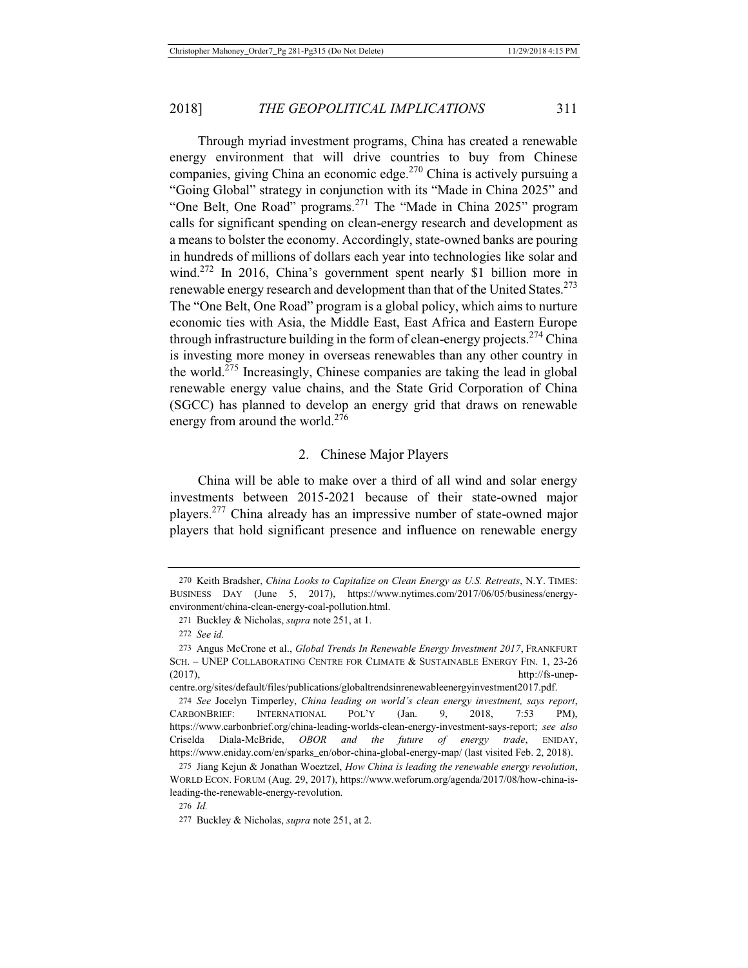Through myriad investment programs, China has created a renewable energy environment that will drive countries to buy from Chinese companies, giving China an economic edge.<sup>270</sup> China is actively pursuing a "Going Global" strategy in conjunction with its "Made in China 2025" and "One Belt, One Road" programs.271 The "Made in China 2025" program calls for significant spending on clean-energy research and development as a means to bolster the economy. Accordingly, state-owned banks are pouring in hundreds of millions of dollars each year into technologies like solar and wind.<sup>272</sup> In 2016, China's government spent nearly \$1 billion more in renewable energy research and development than that of the United States.<sup>273</sup> The "One Belt, One Road" program is a global policy, which aims to nurture economic ties with Asia, the Middle East, East Africa and Eastern Europe through infrastructure building in the form of clean-energy projects.<sup>274</sup> China is investing more money in overseas renewables than any other country in the world.<sup>275</sup> Increasingly, Chinese companies are taking the lead in global renewable energy value chains, and the State Grid Corporation of China (SGCC) has planned to develop an energy grid that draws on renewable energy from around the world.<sup>276</sup>

## 2. Chinese Major Players

China will be able to make over a third of all wind and solar energy investments between 2015-2021 because of their state-owned major players.277 China already has an impressive number of state-owned major players that hold significant presence and influence on renewable energy

<sup>270</sup> Keith Bradsher, *China Looks to Capitalize on Clean Energy as U.S. Retreats*, N.Y. TIMES: BUSINESS DAY (June 5, 2017), https://www.nytimes.com/2017/06/05/business/energyenvironment/china-clean-energy-coal-pollution.html.

<sup>271</sup> Buckley & Nicholas, *supra* note 251, at 1.

<sup>272</sup> *See id.*

<sup>273</sup> Angus McCrone et al., *Global Trends In Renewable Energy Investment 2017*, FRANKFURT SCH. – UNEP COLLABORATING CENTRE FOR CLIMATE & SUSTAINABLE ENERGY FIN. 1, 23-26  $(\frac{2017}{}, \frac{h}{\sqrt{2}})$ 

centre.org/sites/default/files/publications/globaltrendsinrenewableenergyinvestment2017.pdf.

<sup>274</sup> *See* Jocelyn Timperley, *China leading on world's clean energy investment, says report*, CARBONBRIEF: INTERNATIONAL POL'Y (Jan. 9, 2018, 7:53 PM), https://www.carbonbrief.org/china-leading-worlds-clean-energy-investment-says-report; *see also*  Criselda Diala-McBride, *OBOR and the future of energy trade*, ENIDAY, https://www.eniday.com/en/sparks\_en/obor-china-global-energy-map/ (last visited Feb. 2, 2018).

<sup>275</sup> Jiang Kejun & Jonathan Woeztzel, *How China is leading the renewable energy revolution*, WORLD ECON. FORUM (Aug. 29, 2017), https://www.weforum.org/agenda/2017/08/how-china-isleading-the-renewable-energy-revolution.

<sup>276</sup> *Id.*

<sup>277</sup> Buckley & Nicholas, *supra* note 251, at 2.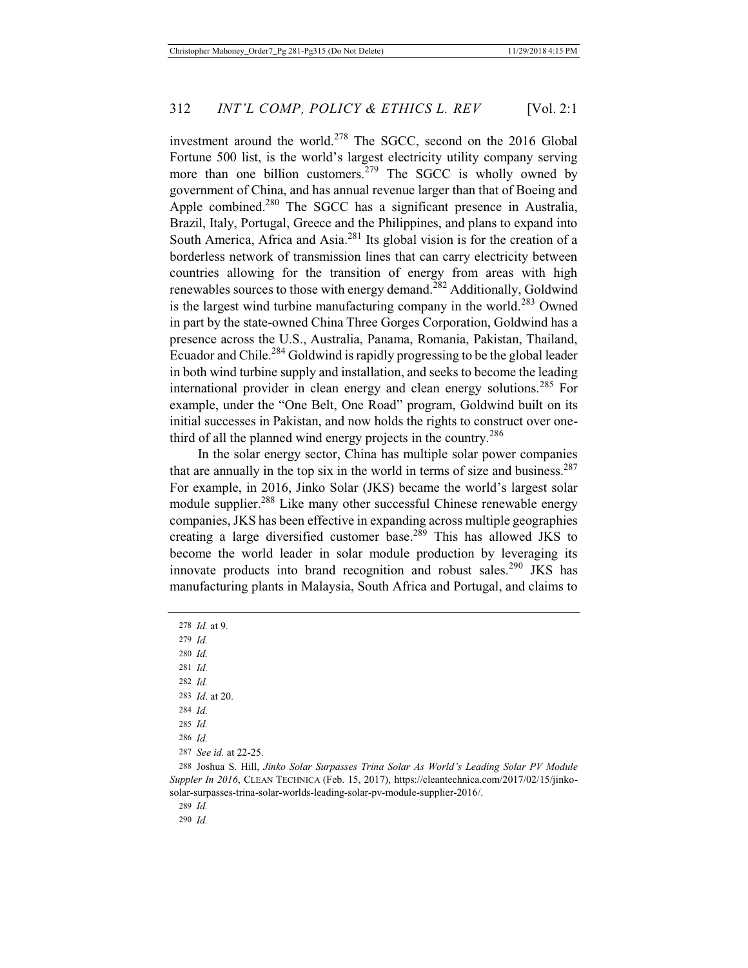investment around the world.<sup>278</sup> The SGCC, second on the 2016 Global Fortune 500 list, is the world's largest electricity utility company serving more than one billion customers.<sup>279</sup> The SGCC is wholly owned by government of China, and has annual revenue larger than that of Boeing and Apple combined.<sup>280</sup> The SGCC has a significant presence in Australia, Brazil, Italy, Portugal, Greece and the Philippines, and plans to expand into South America, Africa and Asia.<sup>281</sup> Its global vision is for the creation of a borderless network of transmission lines that can carry electricity between countries allowing for the transition of energy from areas with high renewables sources to those with energy demand.282 Additionally, Goldwind is the largest wind turbine manufacturing company in the world.<sup>283</sup> Owned in part by the state-owned China Three Gorges Corporation, Goldwind has a presence across the U.S., Australia, Panama, Romania, Pakistan, Thailand, Ecuador and Chile.<sup>284</sup> Goldwind is rapidly progressing to be the global leader in both wind turbine supply and installation, and seeks to become the leading international provider in clean energy and clean energy solutions.285 For example, under the "One Belt, One Road" program, Goldwind built on its initial successes in Pakistan, and now holds the rights to construct over onethird of all the planned wind energy projects in the country.<sup>286</sup>

In the solar energy sector, China has multiple solar power companies that are annually in the top six in the world in terms of size and business.<sup>287</sup> For example, in 2016, Jinko Solar (JKS) became the world's largest solar module supplier.<sup>288</sup> Like many other successful Chinese renewable energy companies, JKS has been effective in expanding across multiple geographies creating a large diversified customer base.<sup>289</sup> This has allowed JKS to become the world leader in solar module production by leveraging its innovate products into brand recognition and robust sales.<sup>290</sup> JKS has manufacturing plants in Malaysia, South Africa and Portugal, and claims to

278 *Id.* at 9. 279 *Id.* 280 *Id.* 281 *Id.* 282 *Id.* 283 *Id*. at 20. 284 *Id.* 285 *Id.* 286 *Id.* 287 *See id.* at 22-25. 288 Joshua S. Hill, *Jinko Solar Surpasses Trina Solar As World's Leading Solar PV Module Suppler In 2016*, CLEAN TECHNICA (Feb. 15, 2017), https://cleantechnica.com/2017/02/15/jinkosolar-surpasses-trina-solar-worlds-leading-solar-pv-module-supplier-2016/.

289 *Id.*

290 *Id.*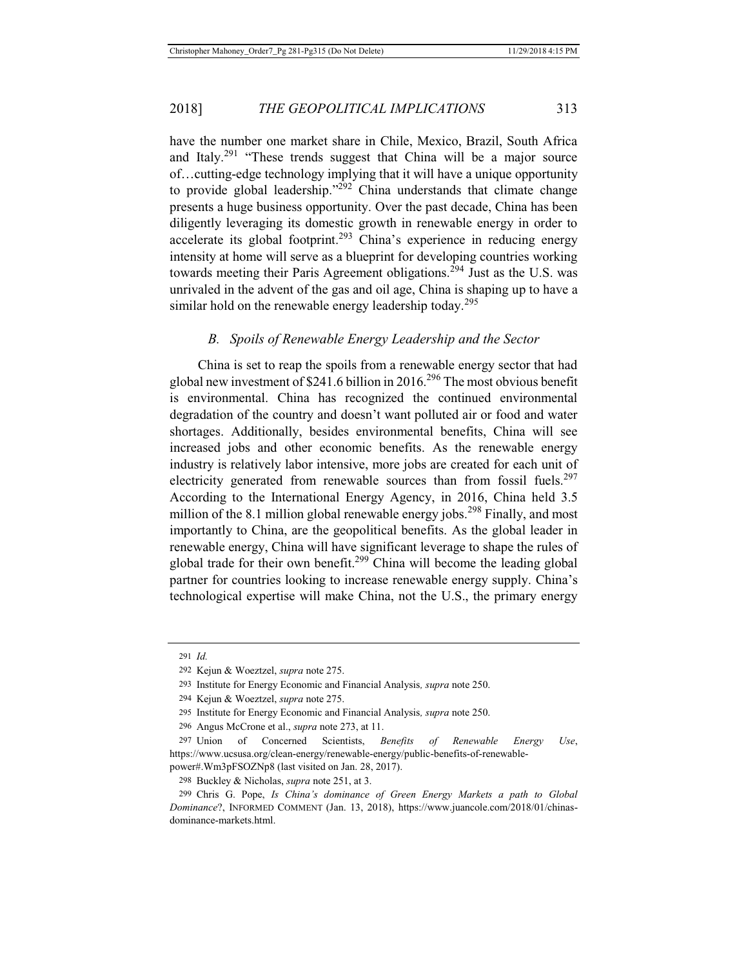have the number one market share in Chile, Mexico, Brazil, South Africa and Italy.<sup>291</sup> "These trends suggest that China will be a major source of…cutting-edge technology implying that it will have a unique opportunity to provide global leadership."<sup>292</sup> China understands that climate change presents a huge business opportunity. Over the past decade, China has been diligently leveraging its domestic growth in renewable energy in order to accelerate its global footprint.<sup>293</sup> China's experience in reducing energy intensity at home will serve as a blueprint for developing countries working towards meeting their Paris Agreement obligations.<sup>294</sup> Just as the U.S. was unrivaled in the advent of the gas and oil age, China is shaping up to have a similar hold on the renewable energy leadership today.<sup>295</sup>

#### *B. Spoils of Renewable Energy Leadership and the Sector*

China is set to reap the spoils from a renewable energy sector that had global new investment of  $$241.6$  billion in 2016.<sup>296</sup> The most obvious benefit is environmental. China has recognized the continued environmental degradation of the country and doesn't want polluted air or food and water shortages. Additionally, besides environmental benefits, China will see increased jobs and other economic benefits. As the renewable energy industry is relatively labor intensive, more jobs are created for each unit of electricity generated from renewable sources than from fossil fuels. $297$ According to the International Energy Agency, in 2016, China held 3.5 million of the 8.1 million global renewable energy jobs.<sup>298</sup> Finally, and most importantly to China, are the geopolitical benefits. As the global leader in renewable energy, China will have significant leverage to shape the rules of global trade for their own benefit.<sup>299</sup> China will become the leading global partner for countries looking to increase renewable energy supply. China's technological expertise will make China, not the U.S., the primary energy

<sup>291</sup> *Id.*

<sup>292</sup> Kejun & Woeztzel, *supra* note 275.

<sup>293</sup> Institute for Energy Economic and Financial Analysis*, supra* note 250.

<sup>294</sup> Kejun & Woeztzel, *supra* note 275.

<sup>295</sup> Institute for Energy Economic and Financial Analysis*, supra* note 250.

<sup>296</sup> Angus McCrone et al., *supra* note 273, at 11.

<sup>297</sup> Union of Concerned Scientists, *Benefits of Renewable Energy Use*, https://www.ucsusa.org/clean-energy/renewable-energy/public-benefits-of-renewablepower#.Wm3pFSOZNp8 (last visited on Jan. 28, 2017).

<sup>298</sup> Buckley & Nicholas, *supra* note 251, at 3.

<sup>299</sup> Chris G. Pope, *Is China's dominance of Green Energy Markets a path to Global Dominance*?, INFORMED COMMENT (Jan. 13, 2018), https://www.juancole.com/2018/01/chinasdominance-markets.html.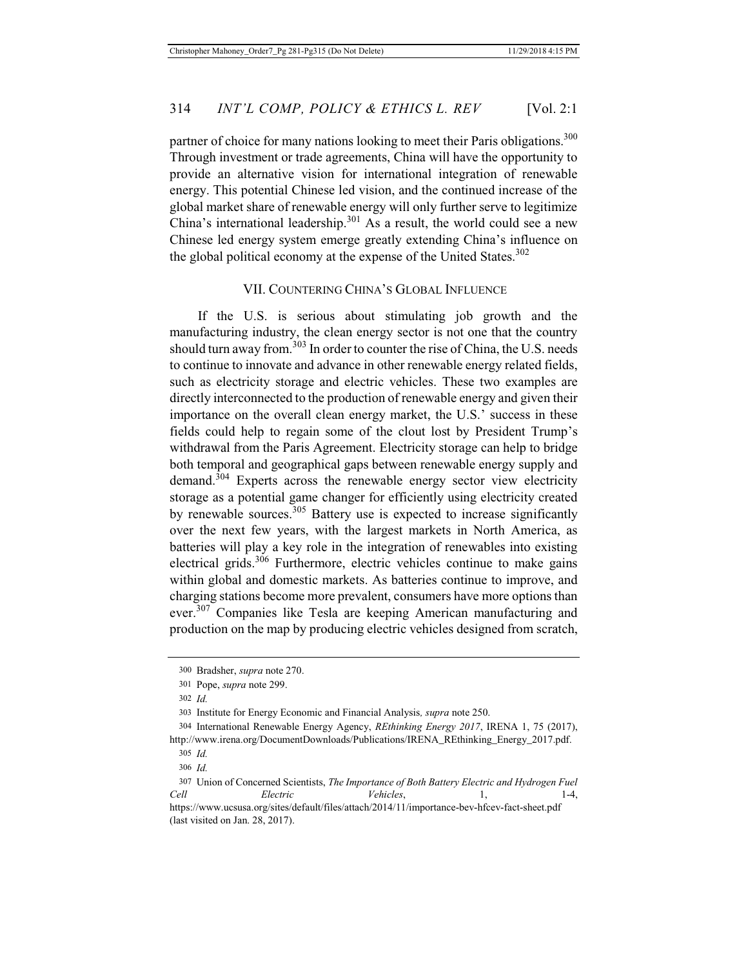partner of choice for many nations looking to meet their Paris obligations.<sup>300</sup> Through investment or trade agreements, China will have the opportunity to provide an alternative vision for international integration of renewable energy. This potential Chinese led vision, and the continued increase of the global market share of renewable energy will only further serve to legitimize China's international leadership. $301$  As a result, the world could see a new Chinese led energy system emerge greatly extending China's influence on the global political economy at the expense of the United States. $302$ 

## VII. COUNTERING CHINA'S GLOBAL INFLUENCE

If the U.S. is serious about stimulating job growth and the manufacturing industry, the clean energy sector is not one that the country should turn away from.<sup>303</sup> In order to counter the rise of China, the U.S. needs to continue to innovate and advance in other renewable energy related fields, such as electricity storage and electric vehicles. These two examples are directly interconnected to the production of renewable energy and given their importance on the overall clean energy market, the U.S.' success in these fields could help to regain some of the clout lost by President Trump's withdrawal from the Paris Agreement. Electricity storage can help to bridge both temporal and geographical gaps between renewable energy supply and  $d$ demand.<sup>304</sup> Experts across the renewable energy sector view electricity storage as a potential game changer for efficiently using electricity created by renewable sources.<sup>305</sup> Battery use is expected to increase significantly over the next few years, with the largest markets in North America, as batteries will play a key role in the integration of renewables into existing electrical grids. $306$  Furthermore, electric vehicles continue to make gains within global and domestic markets. As batteries continue to improve, and charging stations become more prevalent, consumers have more options than ever.<sup>307</sup> Companies like Tesla are keeping American manufacturing and production on the map by producing electric vehicles designed from scratch,

<sup>300</sup> Bradsher, *supra* note 270.

<sup>301</sup> Pope, *supra* note 299.

<sup>302</sup> *Id.*

<sup>303</sup> Institute for Energy Economic and Financial Analysis*, supra* note 250.

<sup>304</sup> International Renewable Energy Agency, *REthinking Energy 2017*, IRENA 1, 75 (2017), http://www.irena.org/DocumentDownloads/Publications/IRENA\_REthinking\_Energy\_2017.pdf.

<sup>305</sup> *Id.*

<sup>306</sup> *Id.*

<sup>307</sup> Union of Concerned Scientists, *The Importance of Both Battery Electric and Hydrogen Fuel Cell Electric Vehicles*, 1, 1-4, https://www.ucsusa.org/sites/default/files/attach/2014/11/importance-bev-hfcev-fact-sheet.pdf (last visited on Jan. 28, 2017).